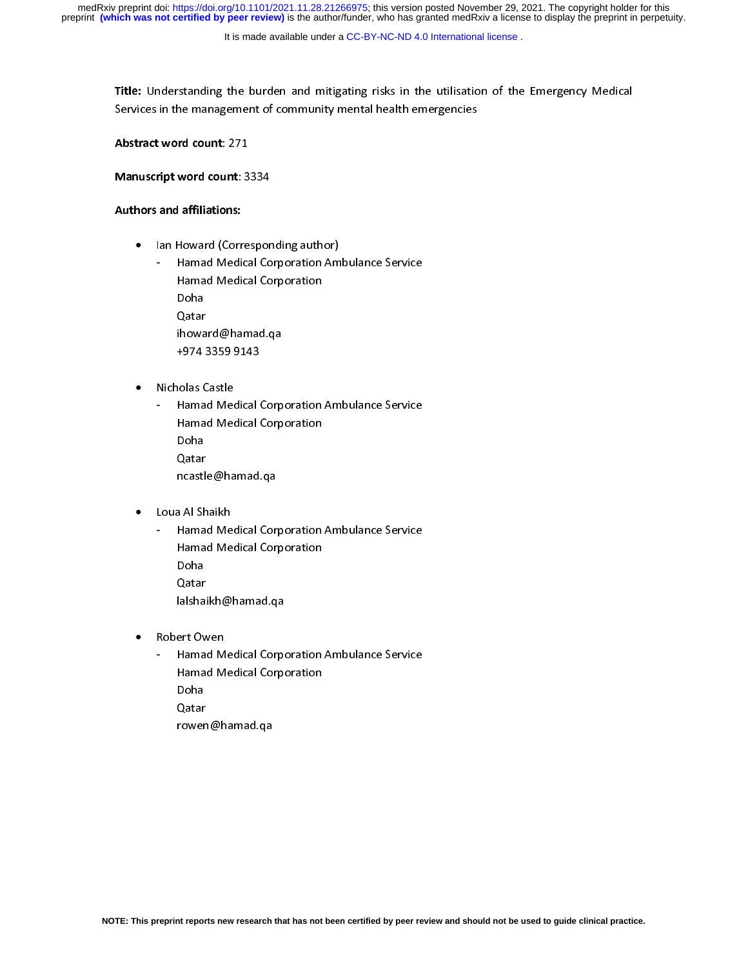It is made available under a [CC-BY-NC-ND 4.0 International license](http://creativecommons.org/licenses/by-nc-nd/4.0/) .

Title: Understanding the burden and mitigating risks in the utilisation of the Emergency Medical<br>Services in the management of community mental health emergencies

 $\frac{3}{\sqrt{2}}$  in the management of community  $\frac{3}{\sqrt{2}}$ 

Abstract word count: 271<br>Manuscript word count: 3334

Manuscript word count: 3334 Authors and affiliations:

•

Ian Howard (Corresponding author)<br>- Hamad Medical Corporation Ambulance Service - Hamad Medical Corporation<br>Doha Hamad Medical Corporation<br>Doha<br>Ostar Qatar ihoward@hamad.qa +974 3359 9143

 $\frac{1}{2}$   $\frac{9}{2}$  $\frac{1}{2}$ •

Nicholas Castle<br>- Hamad Medical Corporation Ambulance Service - Hamad Medical Corporation<br>Doha Doha<br>Ostar Qatar ncastle@hamad.qa ncastle@hamad.qa<br>al-Challe

- ,<br>, •
	- Loua Al Shaikh<br>- Hamad Medical Corporation Ambulance Service - Hamad Medical Corporation<br>Doha Hamad Medical Corporation<br>Doha<br>Ostar Qatar lalshaikh@hamad.qa  $\frac{1}{\sqrt{2}}$
- $\ddot{\phantom{0}}$ •
	- Robert Owen<br>- Hamad Medical Corporation Ambulance Service - Hamad Medical Corporation<br>Doha Doha<br>Ostar Qatar rowen@hamad.qa rowen@hamad.qa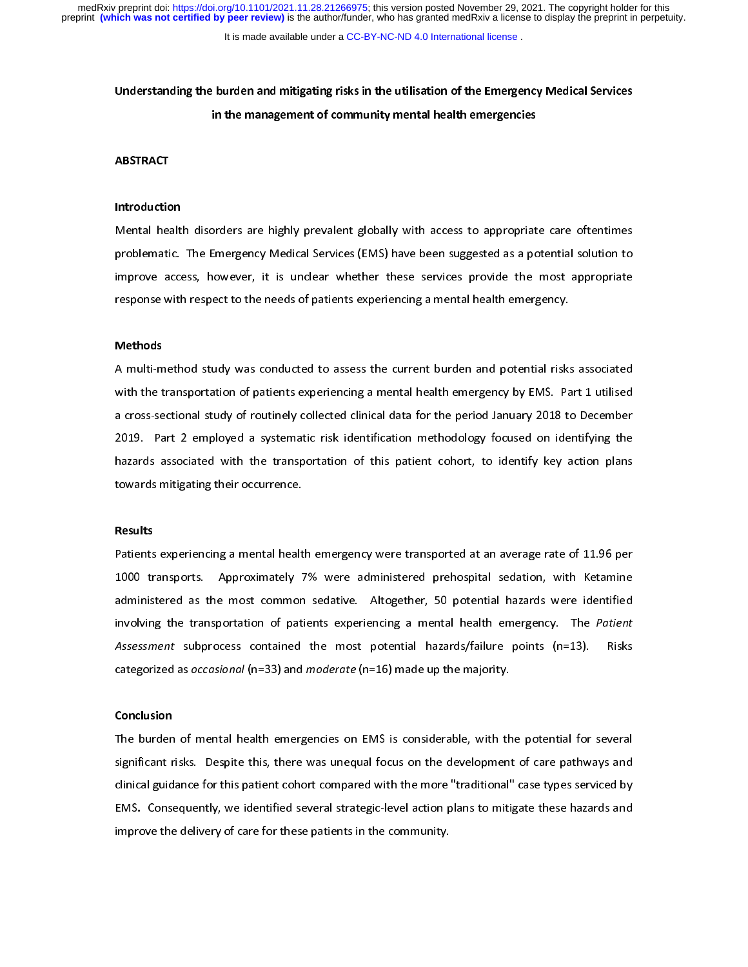It is made available under a CC-BY-NC-ND 4.0 International license.

# Understanding the burden and mitigating risks in the utilisation of the Emergency Medical Services in the management of community mental health emergencies

# $\overline{\phantom{a}}$ **ABSTRACT**

# Introduction

Mental health disorders are highly prevalent globally with access to appropriate care oftentimes<br>problematic. The Emergency Medical Services (EMS) have been suggested as a potential solution to improve access, however, it is unclear whether these services provide the most appropriate response with respect to the needs of patients experiencing a mental health emergency. response with respect to the needs of patients experiencing a mental health emergency.

# Methods

A multi-method study was conducted to assess the current burden and potential risks associated<br>with the transportation of patients experiencing a mental health emergency by EMS. Part 1 utilised a cross-sectional study of routinely collected clinical data for the period January 2018 to December 2019. Part 2 employed a systematic risk identification methodology focused on identifying the hazards associated with the transportation of this patient cohort, to identify key action plans towards mitigating their occurrence. towards mitigating their occurrence.

# |<br>| Results

Patients experiencing a mental health emergency were transported at an average rate of 11.96 per<br>1000 transports. Approximately 7% were administered prehospital sedation, with Ketamine administered as the most common sedative. Altogether, 50 potential hazards were identified involving the transportation of patients experiencing a mental health emergency. The Patient Assessment subprocess contained the most potential hazards/failure points  $(n=13)$ . Risks Assessment subprocess contained the most potential hazards/failure points  $(n=15)$ . Risks categorized as *occasional* (n=33) and *moderate* (n=16) made up the majority. categorized as occasional (n=33) and moderate (n=16) made up the majority.

# Conclusion

The burden of mental health emergencies on EMS is considerable, with the potential for several<br>significant risks. Despite this, there was unequal focus on the development of care pathways and clinical guidance for this patient cohort compared with the more "traditional" case types serviced by EMS. Consequently, we identified several strategic-level action plans to mitigate these hazards and EMS. Consequently, we identified several strategic-level action plans to imitigate these hazards and<br>improve the delivery of care for these patients in the community. improve the delivery of care for these patients in the community.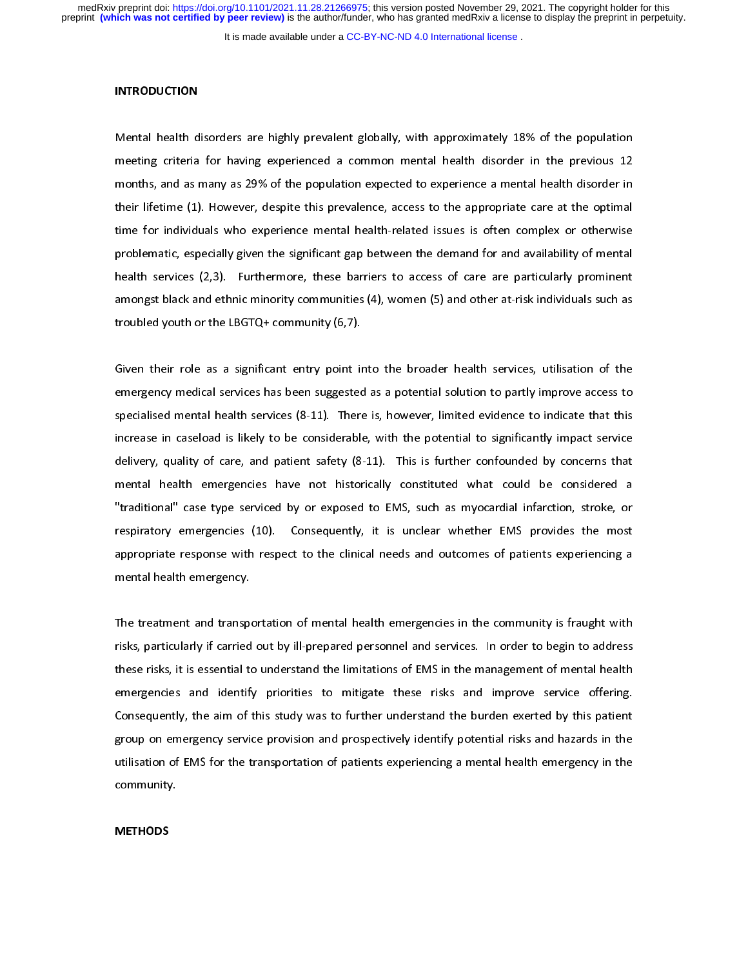It is made available under a [CC-BY-NC-ND 4.0 International license](http://creativecommons.org/licenses/by-nc-nd/4.0/) .

#### **INTRODUCTION**

 $\overline{1}$ Mental health disorders are highly prevalent globally, with approximately 18% of the population<br>meeting criteria for having experienced a common mental health disorder in the previous 12 months, and as many as 29% of the population expected to experience a mental health disorder in their lifetime (1). However, despite this prevalence, access to the appropriate care at the optimal time for individuals who experience mental health-related issues is often complex or otherwise problematic, especially given the significant gap between the demand for and availability of mental health services (2,3). Furthermore, these barriers to access of care are particularly prominent amongst black and ethnic minority communities (4), women (5) and other at-risk individuals such as troubled youth or the LBGTQ+ community (6,7).  $\frac{1}{\sqrt{2}}$ 

 $\overline{\phantom{a}}$ Given their role as a significant entry point into the broader health services, utilisation of the<br>emergency medical services has been suggested as a potential solution to partly improve access to specialised mental health services (8-11). There is, however, limited evidence to indicate that this increase in caseload is likely to be considerable, with the potential to significantly impact service delivery, quality of care, and patient safety (8-11). This is further confounded by concerns that mental health emergencies have not historically constituted what could be considered a "traditional" case type serviced by or exposed to EMS, such as myocardial infarction, stroke, or respiratory emergencies (10). Consequently, it is unclear whether EMS provides the most appropriate response with respect to the clinical needs and outcomes of patients experiencing a mental health emergency. mental health emergency.

 $\overline{1}$ The treatment and transportation of mental health emergencies in the community is fraught with<br>risks, particularly if carried out by ill-prepared personnel and services. In order to begin to address these risks, it is essential to understand the limitations of EMS in the management of mental health emergencies and identify priorities to mitigate these risks and improve service offering. Consequently, the aim of this study was to further understand the burden exerted by this patient group on emergency service provision and prospectively identify potential risks and hazards in the utilisation of EMS for the transportation of patients experiencing a mental health emergency in the utilisation of EMS for the transportation of patients experiencing a mental health emergency in the<br>community. community.

# $\overline{1}$ **METHODS**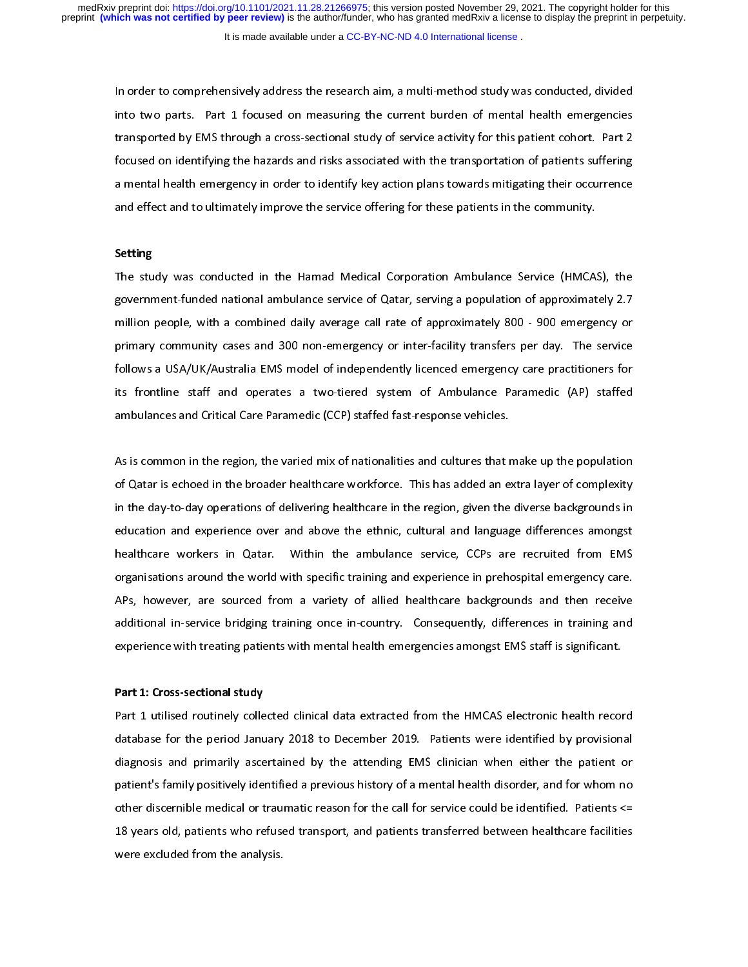It is made available under a CC-BY-NC-ND 4.0 International license.

In order to comprehensively address the research aim, a multi-method study was conducted, divided<br>into two parts. Part 1 focused on measuring the current burden of mental health emergencies transported by EMS through a cross-sectional study of service activity for this patient cohort. Part 2 focused on identifying the hazards and risks associated with the transportation of patients suffering a mental health emergency in order to identify key action plans towards mitigating their occurrence and effect and to ultimately improve the service offering for these patients in the community. and effect and to unitarity improve the service of the service patients in the community.

# Setting

The study was conducted in the Hamad Medical Corporation Ambulance Service (HMCAS), the<br>government-funded national ambulance service of Qatar, serving a population of approximately 2.7 million people, with a combined daily average call rate of approximately 800 - 900 emergency or primary community cases and 300 non-emergency or inter-facility transfers per day. The service follows a USA/UK/Australia EMS model of independently licenced emergency care practitioners for its frontline staff and operates a two-tiered system of Ambulance Paramedic (AP) staffed ambulances and Critical Care Paramedic (CCP) staffed fast-response vehicles. ambulances and  $C$   $\mathcal{L}$  statistical  $\mathcal{L}$  statistical fast-response vehicles.

 $\overline{1}$ As is common in the region, the varied mix of nationalities and cultures that make up the population<br>of Qatar is echoed in the broader healthcare workforce. This has added an extra layer of complexity in the day-to-day operations of delivering healthcare in the region, given the diverse backgrounds in education and experience over and above the ethnic, cultural and language differences amongst healthcare workers in Qatar. Within the ambulance service, CCPs are recruited from EMS organisations around the world with specific training and experience in prehospital emergency care. APs, however, are sourced from a variety of allied healthcare backgrounds and then receive additional in-service bridging training once in-country. Consequently, differences in training and experience with treating patients with mental health emergencies amongst EMS staff is significant. experience with treating patients with mental health emergencies amongst EMS staff is significant.

# Part 1: Cross-sectional study

Part 1 utilised routinely collected clinical data extracted from the HMCAS electronic health record<br>database for the period January 2018 to December 2019. Patients were identified by provisional diagnosis and primarily ascertained by the attending EMS clinician when either the patient or diagnosis and primarily ascertanced by the attending EMS clinician when either the patient or patient's family positively identified a previous history of a mental health disorder, and for whom no<br>other discernible medical or traumatic reason for the call for service could be identified. Patients <= other discernible medical or traumatic reason for the call for service could be identified. Patients <=<br>18 years old, patients who refused transport, and patients transferred between healthcare facilities were excluded from the analysis. were excluded from the analysis.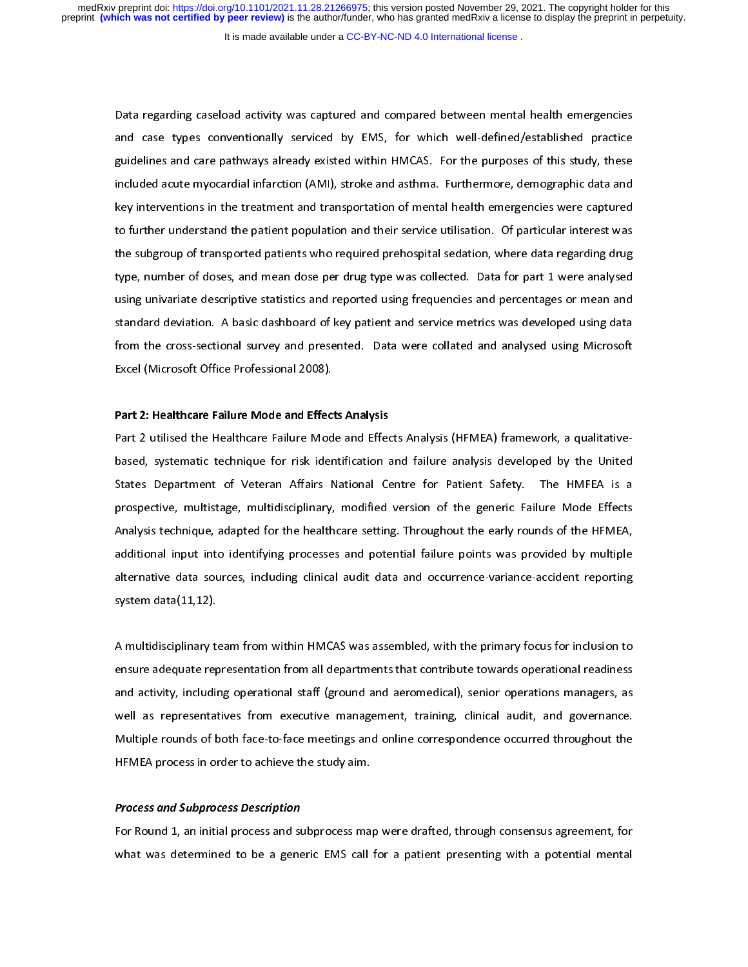It is made available under a [CC-BY-NC-ND 4.0 International license](http://creativecommons.org/licenses/by-nc-nd/4.0/) .

 $\overline{1}$ Data regarding caseload activity was captured and compared between mental health emergencies<br>and case types conventionally serviced by EMS, for which well-defined/established practice guidelines and care pathways already existed within HMCAS. For the purposes of this study, these included acute myocardial infarction (AMI), stroke and asthma. Furthermore, demographic data and key interventions in the treatment and transportation of mental health emergencies were captured to further understand the patient population and their service utilisation. Of particular interest was the subgroup of transported patients who required prehospital sedation, where data regarding drug type, number of doses, and mean dose per drug type was collected. Data for part 1 were analysed using univariate descriptive statistics and reported using frequencies and percentages or mean and standard deviation. A basic dashboard of key patient and service metrics was developed using data from the cross-sectional survey and presented. Data were collated and analysed using Microsoft Excel (Microsoft Office Professional 2008). Excel (Microsoft Office Professional 2008).

## Part 2: Healthcare Failure Mode and Effects Analysis

Part 2 utilised the Healthcare Failure Mode and Effects Analysis (HFMEA) framework, a qualitativebased, systematic technique for risk identification and failure analysis developed by the United States Department of Veteran Affairs National Centre for Patient Safety. The HMFEA is a prospective, multistage, multidisciplinary, modified version of the generic Failure Mode Effects Analysis technique, adapted for the healthcare setting. Throughout the early rounds of the HFMEA, additional input into identifying processes and potential failure points was provided by multiple alternative data sources, including clinical audit data and occurrence-variance-accident reporting alternative data sources, including clinical audit data and occurrence-variance-variance-variance-variance-<br>system data(11,12).  $s<sub>1</sub>$ .

 $\overline{1}$ A multidisciplinary team from within HMCAS was assembled, with the primary focus for inclusion to and activity, including operational staff (ground and aeromedical), senior operations managers, as well as representatives from executive management, training, clinical audit, and governance. Multiple rounds of both face-to-face meetings and online correspondence occurred throughout the HFMEA process in order to achieve the study aim. HFMEA process in order to achieve the study aim.

# Process and Subprocess Description

For Round 1, an initial process and subprocess map were drafted, through consensus agreement, for<br>what was determined to be a generic EMS call for a patient presenting with a potential mental what was determined to be a generic EMS call for a patient presenting with a potential mental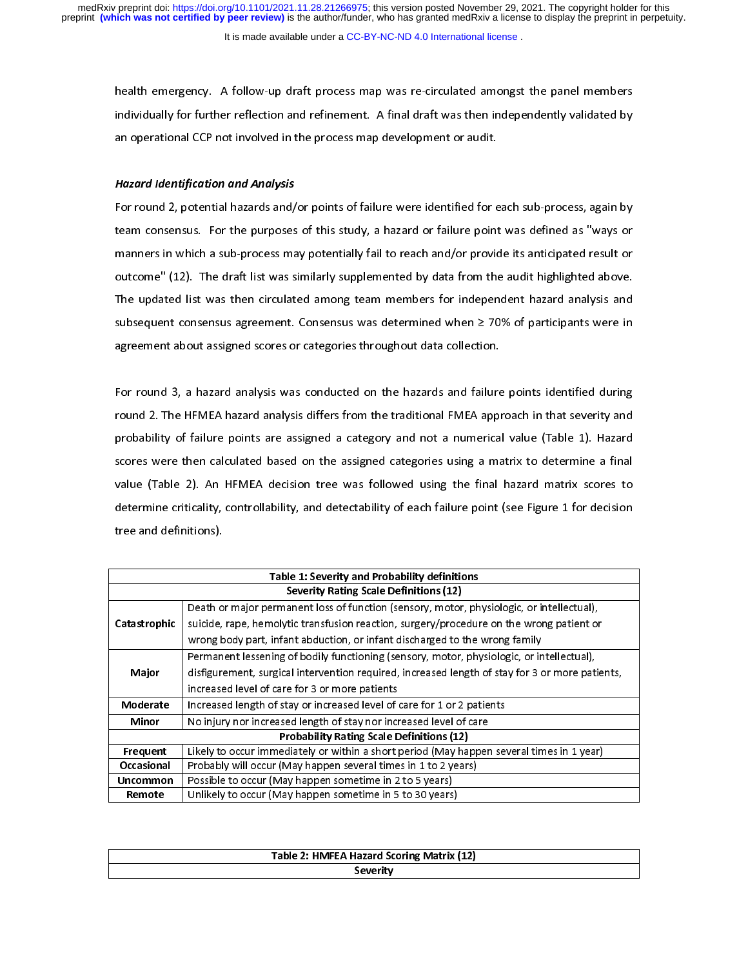It is made available under a [CC-BY-NC-ND 4.0 International license](http://creativecommons.org/licenses/by-nc-nd/4.0/) .

health emergency. A follow-up draft process map was re-circulated amongst the panel members<br>individually for further reflection and refinement. A final draft was then independently validated by individual for further reflection and reflection  $\int$  final dramate or  $\int$  final development or audit. an operational CCP not involved in the process map development or audit.

# Hazard Identification and Analysis

For round 2, potential hazards and/or points of failure were identified for each sub-process, again by<br>team consensus. For the purposes of this study, a hazard or failure point was defined as "ways or manners in which a sub-process may potentially fail to reach and/or provide its anticipated result or outcome" (12). The draft list was similarly supplemented by data from the audit highlighted above. The updated list was then circulated among team members for independent hazard analysis and subsequent consensus agreement. Consensus was determined when  $\geq$  70% of participants were in subsequent consensus agreement about assigned scores or categories throughout data collection. agreement about assigned scores or categories throughout data collection.

|<br>| For round 3, a hazard analysis was conducted on the hazards and failure points identified during<br>round 2. The HFMEA hazard analysis differs from the traditional FMEA approach in that severity and probability of failure points are assigned a category and not a numerical value (Table 1). Hazard scores were then calculated based on the assigned categories using a matrix to determine a final value (Table 2). An HFMEA decision tree was followed using the final hazard matrix scores to determine criticality, controllability, and detectability of each failure point (see Figure 1 for decision  $d$  determine criticality, and definitions). tree and definitions).

|              | Table 1: Severity and Probability definitions                                                   |
|--------------|-------------------------------------------------------------------------------------------------|
|              | <b>Severity Rating Scale Definitions (12)</b>                                                   |
|              | Death or major permanent loss of function (sensory, motor, physiologic, or intellectual),       |
| Catastrophic | suicide, rape, hemolytic transfusion reaction, surgery/procedure on the wrong patient or        |
|              | wrong body part, infant abduction, or infant discharged to the wrong family                     |
|              | Permanent lessening of bodily functioning (sensory, motor, physiologic, or intellectual),       |
| Major        | disfigurement, surgical intervention required, increased length of stay for 3 or more patients, |
|              | increased level of care for 3 or more patients                                                  |
| Moderate     | Increased length of stay or increased level of care for 1 or 2 patients                         |
| Minor        | No injury nor increased length of stay nor increased level of care                              |
|              | <b>Probability Rating Scale Definitions (12)</b>                                                |
| Frequent     | Likely to occur immediately or within a short period (May happen several times in 1 year)       |
| Occasional   | Probably will occur (May happen several times in 1 to 2 years)                                  |
| Uncommon     | Possible to occur (May happen sometime in 2 to 5 years)                                         |
| Remote       | Unlikely to occur (May happen sometime in 5 to 30 years)                                        |

| Table 2: HMFEA Hazard Scoring Matrix (12) |
|-------------------------------------------|
| Severity                                  |
|                                           |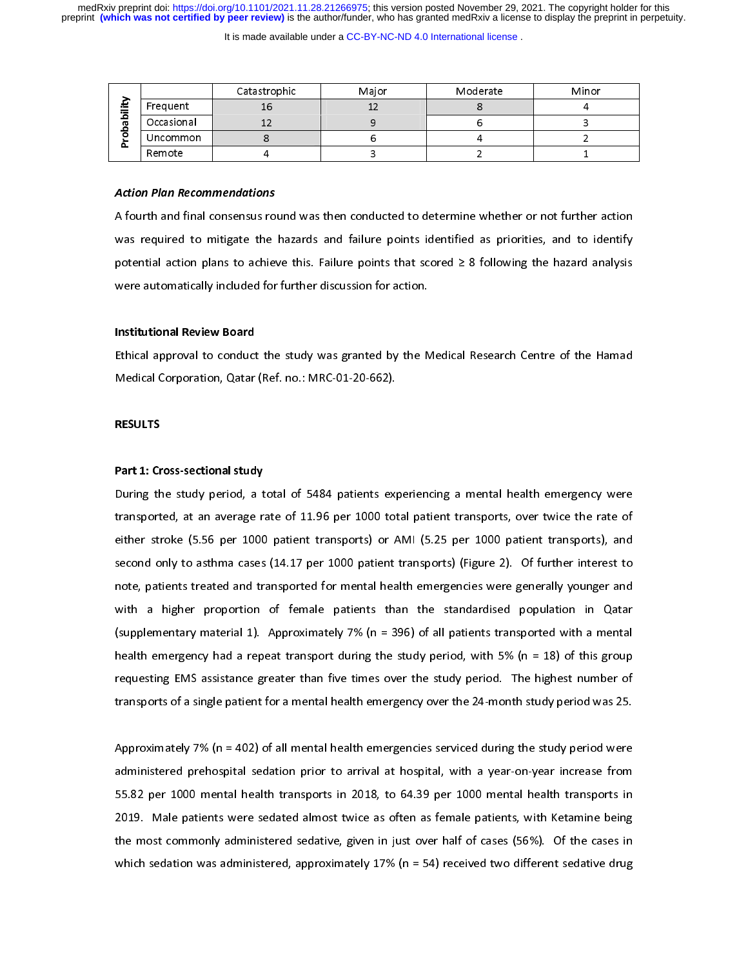It is made available under a [CC-BY-NC-ND 4.0 International license](http://creativecommons.org/licenses/by-nc-nd/4.0/) .

|        |            | Catastrophic | Major | Moderate | Minor |
|--------|------------|--------------|-------|----------|-------|
| ∸<br>≂ | Frequent   | Ίp           |       |          |       |
| っ<br>π | Occasional |              |       |          |       |
|        | Uncommon   |              |       |          |       |
|        | Remote     |              |       |          |       |
| α      |            |              |       |          |       |

## Action Plan Recommendations

A fourth and final consensus round was then conducted to determine whether or not further action<br>was required to mitigate the hazards and failure points identified as priorities, and to identify potential action plans to achieve this. Failure points that scored  $\geq 8$  following the hazard analysis were automatically included for further discussion for action. were automatically included for further discussion for action.

## Institutional Review Board

Ethical approval to conduct the study was granted by the Medical Research Centre of the Hamad<br>Medical Corporation, Qatar (Ref. no.: MRC-01-20-662). Medical Corporation, Qatar (Ref. no.: MRC-01-20-662).

# RESULTS

# Part 1: Cross-sectional study

During the study period, a total of 5484 patients experiencing a mental health emergency were<br>transported, at an average rate of 11.96 per 1000 total patient transports, over twice the rate of either stroke (5.56 per 1000 patient transports) or AMI (5.25 per 1000 patient transports), and second only to asthma cases (14.17 per 1000 patient transports) (Figure 2). Of further interest to note, patients treated and transported for mental health emergencies were generally younger and with a higher proportion of female patients than the standardised population in Qatar (supplementary material 1). Approximately 7% ( $n = 396$ ) of all patients transported with a mental health emergency had a repeat transport during the study period, with 5% (n = 18) of this group requesting EMS assistance greater than five times over the study period. The highest number of transports of a single patient for a mental health emergency over the 24-month study period was 25. transports of a single patient for a mental health emergency over the 24-month study period was 25.

 $\overline{1}$ Approximately 7% (n = 402) of all mental health emergencies serviced during the study period were<br>administered prehospital sedation prior to arrival at hospital, with a year-on-year increase from 55.82 per 1000 mental health transports in 2018, to 64.39 per 1000 mental health transports in 2019. Male patients were sedated almost twice as often as female patients, with Ketamine being the most commonly administered sedative, given in just over half of cases (56%). Of the cases in which sedation was administered, approximately 17% ( $n = 54$ ) received two different sedative drug which sedation was administered, approximately  $\mathcal{L}(\mathbf{r}) = \mathbf{r}_j$  received two different sedative drugs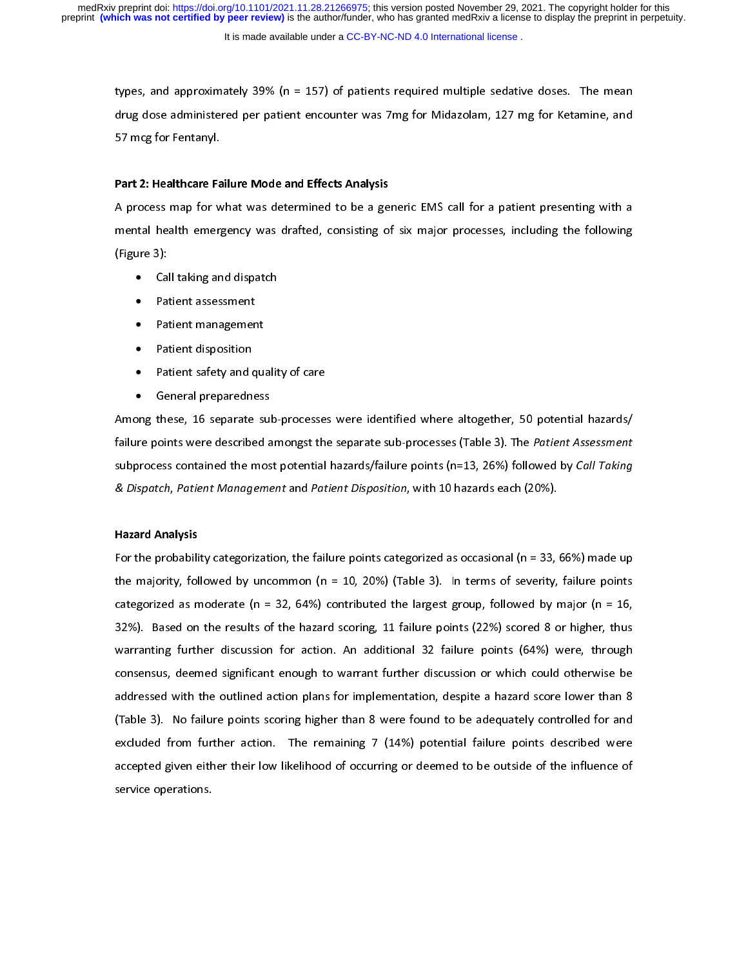It is made available under a CC-BY-NC-ND 4.0 International license.

types, and approximately 39% (n = 157) of patients required multiple sedative doses. The mean<br>drug dose administered per patient encounter was 7mg for Midazolam, 127 mg for Ketamine, and drug dose administered per patient encounter was 7 mg for Midazolam, 127 mg for Midazolam, 127 mg for Ketamine, and 127 mg for Ketamine, and 127 mg for Ketamine, and 127 mg for Ketamine, and 127 mg for Ketamine, and 127 mg 57 mcg for Fentanyl.

# Part 2: Healthcare Failure Mode and Effects Analysis

A process map for what was determined to be a generic EMS call for a patient presenting with a<br>mental health emergency was drafted, consisting of six major processes, including the following mental health emergency was drafted, consisting of six major processes, including the following the following the following the following the following the following the following the following the following the following

- $\bullet$  Ca
	- Patient assessment •
	- Patient management •
	- Patient disposition •
	- Patient safety and quality of care •
	- General preparedness  $\bullet$

Among these, 16 separate sub-processes were identified where altogether, 50 potential hazards/ failure points were described amongst the separate sub-processes (Table 3). The Patient Assessment subprocess contained the most potential hazards/failure points (n=13, 26%) followed by Call Taking subprocess contained the most potential hazards/failure points (n=15, 26%) followed by Call Taking<br>& Dispatch, Patient Management and Patient Disposition, with 10 hazards each (20%). & Dispatch, Patient Management and Patient Disposition, with 10 hazards each (20%).

# Hazard Analysis

For the probability categorization, the failure points categorized as occasional (n = 33, 66%) made up<br>the majority, followed by uncommon (n = 10, 20%) (Table 3). In terms of severity, failure points categorized as moderate (n = 32, 64%) contributed the largest group, followed by major (n = 16, 32%). Based on the results of the hazard scoring, 11 failure points (22%) scored 8 or higher, thus warranting further discussion for action. An additional 32 failure points (64%) were, through consensus, deemed significant enough to warrant further discussion or which could otherwise be addressed with the outlined action plans for implementation, despite a hazard score lower than 8 (Table 3). No failure points scoring higher than 8 were found to be adequately controlled for and excluded from further action. The remaining 7  $(14%)$  potential failure points described were accepted given either their low likelihood of occurring or deemed to be outside of the influence of accepted given either their low likelihood of occurring or deemed to be outside of the influence of the influence of service operations.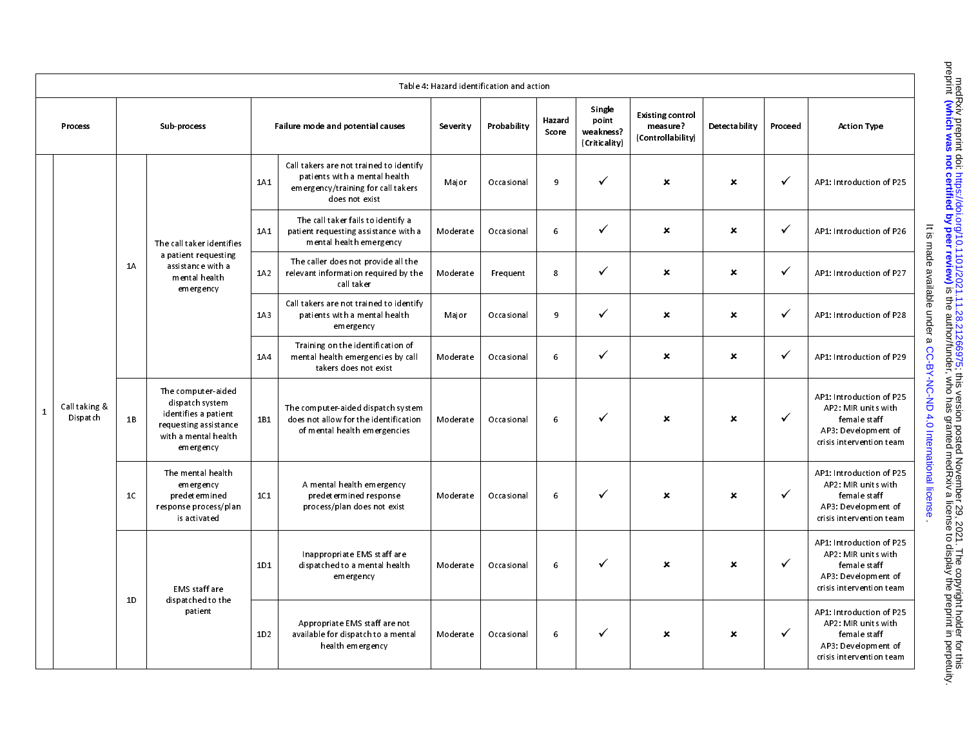|                           |                |                                                                                                                             |     |                                                                                                                                  |                 | Table 4: Hazard identification and action |                 |                                               |                                                          |                           |              |                                                                                                                     |
|---------------------------|----------------|-----------------------------------------------------------------------------------------------------------------------------|-----|----------------------------------------------------------------------------------------------------------------------------------|-----------------|-------------------------------------------|-----------------|-----------------------------------------------|----------------------------------------------------------|---------------------------|--------------|---------------------------------------------------------------------------------------------------------------------|
| Process                   |                | Sub-process                                                                                                                 |     | Failure mode and potential causes                                                                                                | <b>Severity</b> | Probability                               | Hazard<br>Score | Single<br>point<br>weakness?<br>(Criticality) | <b>Existing control</b><br>measure?<br>(Controllability) | Detecta bility            | Procee d     | <b>Action Type</b>                                                                                                  |
|                           |                |                                                                                                                             | 1A1 | Call takers are not trained to identify<br>patients with a mental health<br>emergency/training for call takers<br>does not exist | Major           | Occasional                                | 9               | ✓                                             | $\boldsymbol{\mathsf{x}}$                                | ×                         | $\checkmark$ | AP1: Introduction of P25                                                                                            |
|                           |                | The call taker identifies                                                                                                   | 1A1 | The call taker fails to identify a<br>patient requesting assistance with a<br>mental health emergency                            | Moderate        | Occasional                                | 6               | ✓                                             | $\boldsymbol{\mathsf{x}}$                                | $\boldsymbol{\mathsf{x}}$ | $\checkmark$ | AP1: Introduction of P26                                                                                            |
|                           | 1A             | a patient requesting<br>assistance with a<br>mental health<br>emergency                                                     | 1A2 | The caller does not provide all the<br>relevant information required by the<br>call taker                                        | Moderate        | Frequent                                  | 8               | ✓                                             | $\boldsymbol{\mathsf{x}}$                                | $\boldsymbol{\mathsf{x}}$ | $\checkmark$ | AP1: Introduction of P27                                                                                            |
|                           |                |                                                                                                                             | 1A3 | Call takers are not trained to identify<br>patients with a mental health<br>emergency                                            | Major           | Occasional                                | 9               | ✓                                             | $\mathbf x$                                              | ×                         | $\checkmark$ | AP1: Introduction of P28                                                                                            |
|                           |                |                                                                                                                             | 1A4 | Training on the identification of<br>mental health emergencies by call<br>takers does not exist                                  | Moderate        | Occasional                                | 6               | ✓                                             | $\boldsymbol{\mathsf{x}}$                                | ×                         | $\checkmark$ | AP1: Introduction of P29                                                                                            |
| Call taking &<br>Dispatch | 1B             | The computer-aided<br>dispatch system<br>identifies a patient<br>requesting assistance<br>with a mental health<br>emergency | 1B1 | The computer-aided dispatch system<br>does not allow for the identification<br>of mental health emergencies                      | Moderate        | Occasional                                | 6               | ✓                                             | ×                                                        | ×                         | $\checkmark$ | AP1: Introduction of P25<br>AP2: MIR units with<br>female staff<br>AP3: Development of<br>crisis intervention team  |
|                           | 1 <sup>C</sup> | The mental health<br>emergency<br>predet ermined<br>response process/plan<br>is activated                                   | 1C1 | A mental health emergency<br>predet ermined response<br>process/plan does not exist                                              | Moderate        | Occasional                                | 6               | ✓                                             | $\boldsymbol{\mathsf{x}}$                                | $\boldsymbol{\mathsf{x}}$ | $\checkmark$ | AP1: Introduction of P25<br>AP2: MIR units with<br>femal e staff<br>AP3: Development of<br>crisis intervention team |
|                           |                | EMS staff are                                                                                                               | 1D1 | Inappropriate EMS staff are<br>dispatched to a mental health<br>emergency                                                        | Moderate        | Occasional                                | 6               | ✓                                             | ×                                                        | ×                         | $\checkmark$ | AP1: Introduction of P25<br>AP2: MIR units with<br>female staff<br>AP3: Development of<br>crisis intervention team  |
|                           | 1D             | dispatched to the<br>patient                                                                                                | 1D2 | Appropriate EMS staff are not<br>available for dispatch to a mental<br>health emergency                                          | Moderate        | Occasional                                | 6               | ✓                                             | $\boldsymbol{x}$                                         | $\mathbf x$               | $\checkmark$ | AP1: Introduction of P25<br>AP2: MIR units with<br>female staff<br>AP3: Development of<br>crisis intervention team  |

medRxiv preprint doi: https://doi.org/10.1101/2021.11.28.21266975; this version posted November 29, 2021. The copyright holder for this<br>preprint (which was not certified by peer review) is the author/funder, who has grante is the presult of the authory funder medical state to display is the author/funder, she seeked and prepriated by peer redsignation in perception the preprint in perceptive defined by peer redsignation of  $\alpha$  and  $\alpha$  is t The copyright holder for this included not this version posted November 29, 2021. The copyright holder for this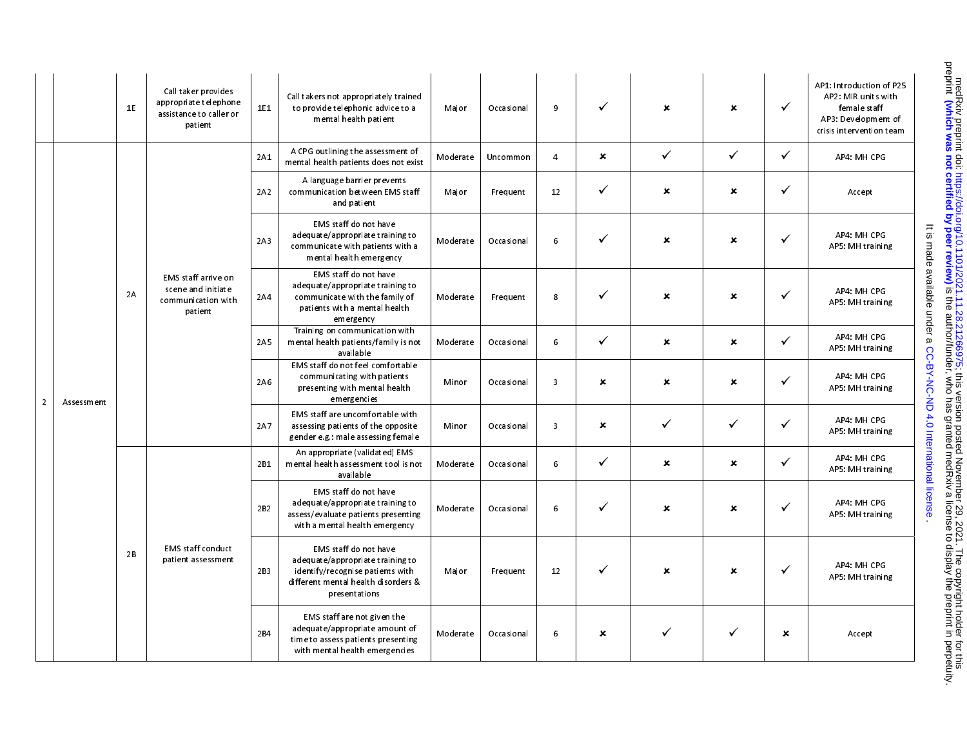|                | 1E         | Call taker provides<br>appropriate telephone<br>assistance to caller or<br>patient | 1E1 | Call takers not appropriately trained<br>to provide telephonic advice to a<br>mental health patient                                                   | Major    | Occasional | 9                       | $\checkmark$   | $\boldsymbol{\mathsf{x}}$ | $\mathbf{x}$              | $\checkmark$              | AP1: Introduction of P25<br>AP2: MIR units with<br>female staff<br>AP3: Development of<br>crisis intervention team |
|----------------|------------|------------------------------------------------------------------------------------|-----|-------------------------------------------------------------------------------------------------------------------------------------------------------|----------|------------|-------------------------|----------------|---------------------------|---------------------------|---------------------------|--------------------------------------------------------------------------------------------------------------------|
|                |            |                                                                                    | 2A1 | A CPG outlining the assessment of<br>mental health patients does not exist                                                                            | Moderate | Uncommon   | $\overline{4}$          | $\pmb{\times}$ | $\checkmark$              | $\checkmark$              | $\checkmark$              | AP4: MH CPG                                                                                                        |
|                |            |                                                                                    | 2A2 | A language barrier prevents<br>communication between EMS staff<br>and patient                                                                         | Major    | Frequent   | 12                      | $\checkmark$   | ×                         | ×                         | $\checkmark$              | Accept                                                                                                             |
|                |            |                                                                                    | 2A3 | EMS staff do not have<br>adequate/appropriate training to<br>communicate with patients with a<br>mental health emergency                              | Moderate | Occasional | 6                       | ✓              | ×                         | ×                         | $\checkmark$              | AP4: MH CPG<br>AP5: MH training                                                                                    |
|                | 2A         | EMS staff arrive on<br>scene and initiate<br>communication with<br>patient         | 2A4 | EMS staff do not have<br>adequate/appropriate training to<br>communicate with the family of<br>patients with a mental health<br>emergency             | Moderate | Frequent   | 8                       | $\checkmark$   | ×                         | $\mathbf{x}$              | $\checkmark$              | It is made available under a CC-BY-NC-ND 4.0 International license<br>AP4: MH CPG<br>AP5: MH training              |
|                |            |                                                                                    | 2A5 | Training on communication with<br>mental health patients/family is not<br>available                                                                   | Moderate | Occasional | 6                       | $\checkmark$   | $\boldsymbol{\mathsf{x}}$ | $\boldsymbol{\mathsf{x}}$ | $\checkmark$              | AP4 MH CPG<br>AP5: MH training                                                                                     |
| $\overline{2}$ | Assessment |                                                                                    | 2A6 | EMS staff do not feel comfortable<br>communicating with patients<br>presenting with mental health<br>emergencies                                      | Minor    | Occasional | $\overline{\mathbf{3}}$ | ×              | ×                         | ×                         | $\checkmark$              | AP4: MH CPG<br>AP5: MH training                                                                                    |
|                |            |                                                                                    | 2A7 | EMS staff are uncomfortable with<br>assessing patients of the opposite<br>gender e.g.: male assessing female                                          | Minor    | Occasional | $\overline{\mathbf{3}}$ | $\pmb{\times}$ | $\checkmark$              | $\checkmark$              | $\checkmark$              | AP4: MH CPG<br>AP5: MH training                                                                                    |
|                |            |                                                                                    | 2B1 | An appropriate (validated) EMS<br>mental health assessment tool is not<br>available                                                                   | Moderate | Occasional | 6                       | $\checkmark$   | $\boldsymbol{\mathsf{x}}$ | $\boldsymbol{\mathsf{x}}$ | $\checkmark$              | AP4: MH CPG<br>AP5: MH training                                                                                    |
|                |            |                                                                                    | 2B2 | EMS staff do not have<br>adequate/appropriate training to<br>assess/evaluate patients presenting<br>with a mental health emergency                    | Moderate | Occasional | $6\phantom{.}6$         | $\checkmark$   | ×                         | $\pmb{\times}$            | $\checkmark$              | AP4: MH CPG<br>AP5: MH training                                                                                    |
|                | 2B         | <b>EMS</b> staff conduct<br>patient assessment                                     | 2B3 | EMS staff do not have<br>adequate/appropriate training to<br>identify/recognise patients with<br>different mental health disorders &<br>presentations | Major    | Frequent   | 12                      | $\checkmark$   | $\boldsymbol{\mathsf{x}}$ | $\mathbf x$               | $\checkmark$              | AP4: MH CPG<br>AP5: MH training                                                                                    |
|                |            |                                                                                    | 2B4 | EMS staff are not given the<br>adequate/appropriate amount of<br>time to assess patients presenting<br>with mental health emergencies                 | Moderate | Occasional | 6                       | ×              | ✓                         | $\checkmark$              | $\boldsymbol{\mathsf{x}}$ | Accept                                                                                                             |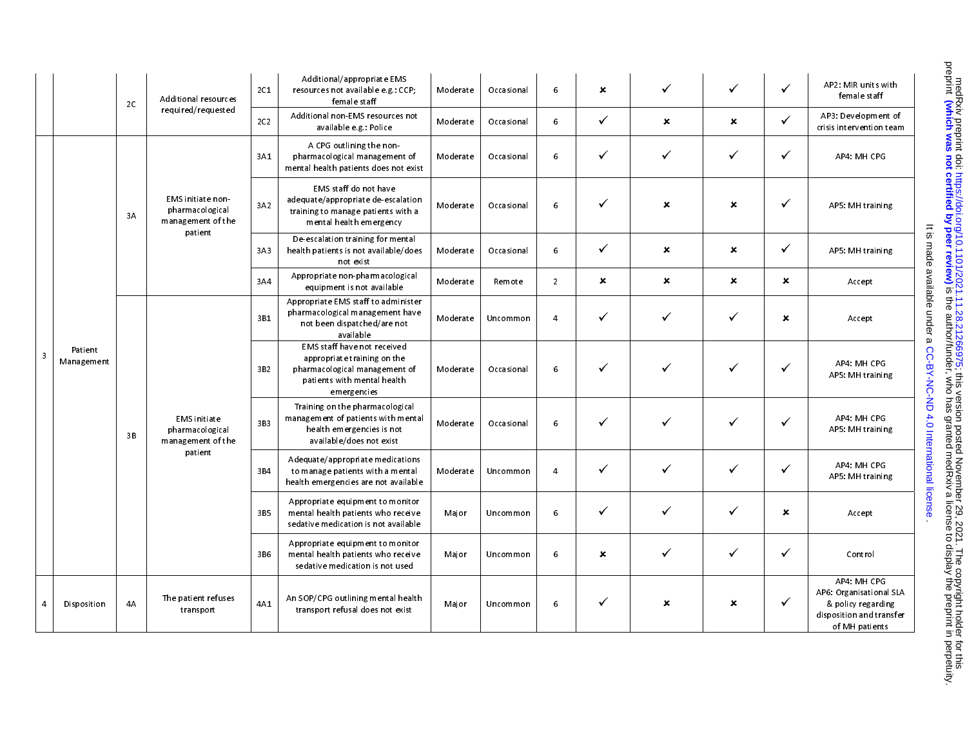|                         |                       | 2C | Additional resources                                                 | 2C1             | Additional/appropriate EMS<br>resources not available e.g.: CCP;<br>female staff                                                           | Moderate | Occasional | 6              | $\boldsymbol{\mathsf{x}}$ | $\checkmark$              | ✓                         | $\checkmark$              | AP2: MIR units with<br>female staff                                                                        |
|-------------------------|-----------------------|----|----------------------------------------------------------------------|-----------------|--------------------------------------------------------------------------------------------------------------------------------------------|----------|------------|----------------|---------------------------|---------------------------|---------------------------|---------------------------|------------------------------------------------------------------------------------------------------------|
|                         |                       |    | required/requested                                                   | 2C <sub>2</sub> | Additional non-EMS resources not<br>available eg : Police                                                                                  | Moderate | Occasional | 6              | $\checkmark$              | $\boldsymbol{\mathsf{x}}$ | $\boldsymbol{\mathsf{x}}$ | $\checkmark$              | AP3: Development of<br>crisis intervention team                                                            |
|                         |                       |    |                                                                      | 3A1             | A CPG outlining the non-<br>pharmacological management of<br>mental health patients does not exist                                         | Moderate | Occasional | 6              | $\checkmark$              | $\checkmark$              | ✓                         | $\checkmark$              | AP4: MH CPG                                                                                                |
|                         |                       | 3A | EMS initiate non-<br>pharmacological<br>management of the<br>patient | 3A2             | EMS staff do not have<br>adequate/appropriate de-escalation<br>training to manage patients with a<br>ment al health emergency              | Moderate | Occasional | 6              | ✓                         | ×                         | $\boldsymbol{\mathsf{x}}$ | $\checkmark$              | AP5: MH training                                                                                           |
|                         |                       |    |                                                                      | 3A3             | De escalation training for mental<br>health patients is not available/does<br>not exist                                                    | Moderate | Occasional | 6              | $\checkmark$              | ×                         | $\boldsymbol{\mathsf{x}}$ | $\checkmark$              | AP5: MH training                                                                                           |
|                         |                       |    |                                                                      | 3A4             | Appropriate non-pharmacological<br>equipment is not available                                                                              | Moderate | Remote     | $\overline{2}$ | $\boldsymbol{\mathsf{x}}$ | $\boldsymbol{\mathsf{x}}$ | $\boldsymbol{\mathsf{x}}$ | $\boldsymbol{\mathsf{x}}$ | Accept                                                                                                     |
|                         |                       |    |                                                                      | 3B1             | Appropriate EMS staff to administer<br>pharmacological management have<br>not been dispatched/are not<br>available                         | Moderate | Uncommon   | $\overline{4}$ | $\checkmark$              | $\checkmark$              | ✓                         | $\pmb{\times}$            | It is made available under a<br>Accept                                                                     |
| $\overline{\mathbf{3}}$ | Patient<br>Management |    |                                                                      | 3B <sub>2</sub> | EMS staff have not received<br>appropriate training on the<br>pharmacological management of<br>patients with mental health<br>em ergencies | Moderate | Occasional | 6              | $\checkmark$              | ✓                         | ✓                         | $\checkmark$              | AP4: MH CPG<br>AP5: MH training                                                                            |
|                         |                       | 3B | <b>EMS</b> initiate<br>pharmacological<br>management of the          | 3B3             | Training on the pharmacological<br>management of patients with mental<br>health emergencies is not<br>available/does not exist             | Moderate | Occasional | 6              | $\checkmark$              | $\checkmark$              | $\checkmark$              | $\checkmark$              | CC-BY-NC-ND 4.0 International license<br>AP4 MH CPG<br>AP5: MH training                                    |
|                         |                       |    | patient                                                              | 3B4             | Adequate/appropriate medications<br>to manage patients with a mental<br>health emergencies are not available                               | Moderate | Uncommon   | $\overline{4}$ | ✓                         | $\checkmark$              | ✓                         | $\checkmark$              | AP4: MH CPG<br>AP5: MH training                                                                            |
|                         |                       |    |                                                                      | 3B <sub>5</sub> | Appropriate equipment to monitor<br>mental health patients who receive<br>sedative medication is not available                             | Major    | Uncommon   | 6              | $\checkmark$              | ✓                         | ✓                         | $\boldsymbol{\mathsf{x}}$ | Accept                                                                                                     |
|                         |                       |    |                                                                      | 3B6             | Appropriate equipment to monitor<br>mental health patients who receive<br>sedative medication is not used                                  | Major    | Uncommon   | 6              | ×                         | $\checkmark$              | ✓                         | $\checkmark$              | Control                                                                                                    |
| $\overline{4}$          | Disposition           | 4A | The patient refuses<br>transport                                     | 4A1             | An SOP/CPG outlining mental health<br>transport refusal does not exist                                                                     | Major    | Uncommon   | 6              | $\checkmark$              | $\boldsymbol{\mathsf{x}}$ | ×                         | $\checkmark$              | AP4: MH CPG<br>AP6: Organisational SLA<br>& policy regarding<br>disposition and transfer<br>of MH patients |

medRxiv preprint doi: https://doi.org/10.1101/2021.11.28.21266975; this version posted November 29, 2021. The copyright holder for this<br>preprint (which was not certified by peer review) is the author/funder, who has grante is the presult of the authory funder medical state to display is the author/funder, she seeked and prepriated by peer redsignation in perception the preprint in perceptive defined by peer redsignation of  $\alpha$  and  $\alpha$  is t The copyright holder for this included not this version posted November 29, 2021. The copyright holder for this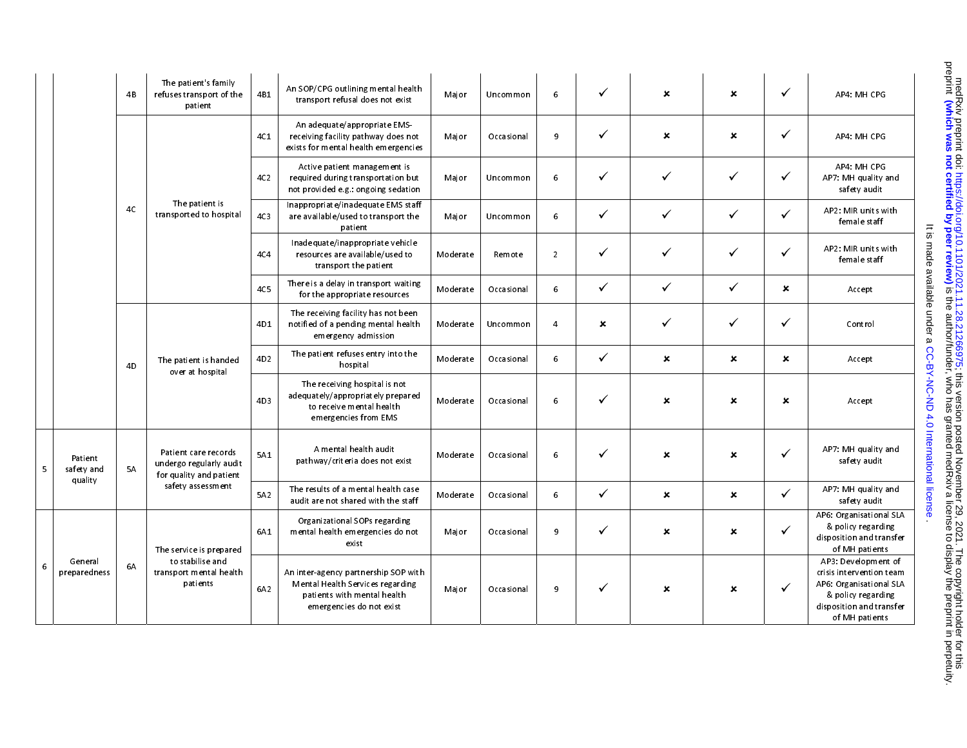|                         | 4B             | The patient's family<br>refuses transport of the<br>patient                | 4B1             | An SOP/CPG outlining mental health<br>transport refusal does not exist                                                              | Major    | Uncommon   | 6              | $\checkmark$   | $\boldsymbol{\mathsf{x}}$ | $\boldsymbol{\mathsf{x}}$ | $\checkmark$              | AP4: MH CPG                                                                                                                                    |
|-------------------------|----------------|----------------------------------------------------------------------------|-----------------|-------------------------------------------------------------------------------------------------------------------------------------|----------|------------|----------------|----------------|---------------------------|---------------------------|---------------------------|------------------------------------------------------------------------------------------------------------------------------------------------|
|                         |                |                                                                            | 4C1             | An adequate/appropriate EMS-<br>receiving facility path way does not<br>exists for mental health emergencies                        | Major    | Occasional | 9              | $\checkmark$   | $\pmb{\times}$            | $\boldsymbol{\mathsf{x}}$ | ✓                         | AP4 MH CPG                                                                                                                                     |
|                         |                |                                                                            | 4C2             | Active patient management is<br>required during transportation but<br>not provided e.g.: ongoing sedation                           | Major    | Uncommon   | 6              | $\checkmark$   | ✓                         | ✓                         | $\checkmark$              | AP4: MH CPG<br>AP7: MH quality and<br>safety audit                                                                                             |
|                         | 4C             | The patient is<br>transported to hospital                                  | 4C <sub>3</sub> | In appropriate/in a dequate EMS staff<br>are available/used to transport the<br>patient                                             | Major    | Uncommon   | 6              | $\checkmark$   | ✓                         | ✓                         | $\checkmark$              | AP2: MIR units with<br>female staff                                                                                                            |
|                         |                |                                                                            | 4C4             | In adequate/in appropriate vehicle<br>resources are available/used to<br>transport the patient                                      | Moderate | Remote     | $\overline{2}$ | $\checkmark$   | $\checkmark$              | $\checkmark$              | $\checkmark$              | AP2: MIR units with<br>female staff                                                                                                            |
|                         |                |                                                                            | <b>4C5</b>      | There is a delay in transport waiting<br>for the appropriate resources                                                              | Moderate | Occasional | 6              | $\checkmark$   | $\checkmark$              | ✓                         | $\boldsymbol{\mathsf{x}}$ | Accept                                                                                                                                         |
|                         |                |                                                                            | 4D1             | The receiving facility has not been<br>notified of a pending mental health<br>emergency admission                                   | Moderate | Uncommon   | $\overline{4}$ | $\pmb{\times}$ | ✓                         | ✓                         | $\checkmark$              | Control                                                                                                                                        |
|                         | 4 <sub>D</sub> | The patient is handed<br>over at hospital                                  | 4D <sub>2</sub> | The patient refuses entry into the<br>hospital                                                                                      | Moderate | Occasional | 6              | $\checkmark$   | $\boldsymbol{\mathsf{x}}$ | $\mathbf x$               | $\boldsymbol{\mathsf{x}}$ | Accept                                                                                                                                         |
|                         |                |                                                                            | 4D3             | The receiving hospital is not<br>adequately/appropriately prepared<br>to receive mental health<br>emergencies from EMS              | Moderate | Occasional | 6              | $\checkmark$   | $\boldsymbol{\mathsf{x}}$ | $\boldsymbol{\mathsf{x}}$ | $\boldsymbol{\mathsf{x}}$ | Accept                                                                                                                                         |
| Patient<br>safety and   | 5A             | Patient care records<br>undergo regularly audit<br>for quality and patient | 5A1             | A mental health audit<br>pathway/criteria does not exist                                                                            | Moderate | Occasional | 6              | $\checkmark$   | $\boldsymbol{\mathsf{x}}$ | $\boldsymbol{\mathsf{x}}$ | $\checkmark$              | AP7: MH quality and<br>safety audit                                                                                                            |
| quality                 |                | safety assessment                                                          | 5A2             | The results of a mental health case<br>audit are not shared with the staff                                                          | Moderate | Occasional | 6              | $\checkmark$   | $\pmb{\times}$            | $\boldsymbol{\mathsf{x}}$ | ✓                         | AP7: MH quality and<br>safety audit                                                                                                            |
|                         |                | The service is prepared                                                    | 6A1             | Organizational SOPs regarding<br>mental health emergencies do not<br>exist                                                          | Major    | Occasional | 9              | $\checkmark$   | $\pmb{\times}$            | $\pmb{\times}$            | ✓                         | AP6: Organisational SLA<br>& policy regarding<br>disposition and transfer<br>of MH patients                                                    |
| General<br>preparedness | 6A             | to stabilise and<br>transport mental health<br>patients                    | 6A2             | An inter-agency partnership SOP with<br>Mental Health Services regarding<br>patients with mental health<br>emergencies do not exist | Major    | Occasional | 9              | $\checkmark$   | $\pmb{\times}$            | $\boldsymbol{\mathsf{x}}$ | $\checkmark$              | AP3: Development of<br>crisis intervention team<br>AP6: Organisational SLA<br>& policy regarding<br>disposition and transfer<br>of MH patients |

. [CC-BY-NC-ND 4.0 International license](http://creativecommons.org/licenses/by-nc-nd/4.0/) It is made available under a

It is made available under a CC-BY-NC-ND 4.0 International license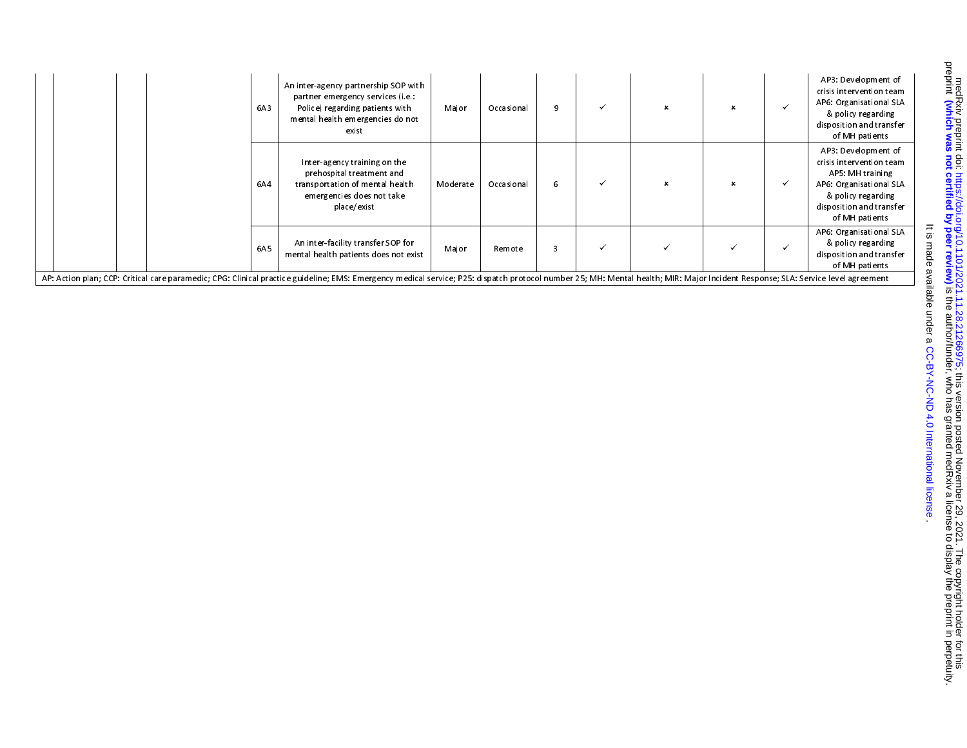|                                                                                                                                                                                                                                | 6A3 | An inter-agency partnership SOP with<br>partner emergency services (i.e.:<br>Police) regarding patients with<br>mental health emergencies do not<br>exist | Major    | Occasional | 9 | $\boldsymbol{\mathsf{x}}$ |  | AP3: Development of<br>crisis intervention team<br>AP6: Organisational SLA<br>& policy regarding<br>disposition and transfer<br>of MH patients                     |
|--------------------------------------------------------------------------------------------------------------------------------------------------------------------------------------------------------------------------------|-----|-----------------------------------------------------------------------------------------------------------------------------------------------------------|----------|------------|---|---------------------------|--|--------------------------------------------------------------------------------------------------------------------------------------------------------------------|
|                                                                                                                                                                                                                                | 6A4 | Inter-agency training on the<br>prehospital treatment and<br>transportation of mental health<br>emergencies does not take<br>place/exist                  | Moderate | Occasional | 6 | $\boldsymbol{\mathsf{x}}$ |  | AP3: Development of<br>crisis intervention team<br>AP5: MH training<br>AP6: Organisational SLA<br>& policy regarding<br>disposition and transfer<br>of MH patients |
|                                                                                                                                                                                                                                | 6A5 | An inter-facility transfer SOP for<br>mental health patients does not exist                                                                               | Major    | Remote     | 3 |                           |  | AP6: Organisational SLA<br>& policy regarding<br>disposition and transfer<br>of MH patients                                                                        |
| AP: Action plan; CCP: Critical care paramedic; CPG: Clinical practice guideline; EMS: Emergency medical service; P25: dispatch protocol number 25; MH: Mental health; MIR: Major Incident Response; SLA: Service level agreeme |     |                                                                                                                                                           |          |            |   |                           |  |                                                                                                                                                                    |

. [CC-BY-NC-ND 4.0 International license](http://creativecommons.org/licenses/by-nc-nd/4.0/) It is made available under a

It is made available under a CC-BY-NC-ND 4.0 International license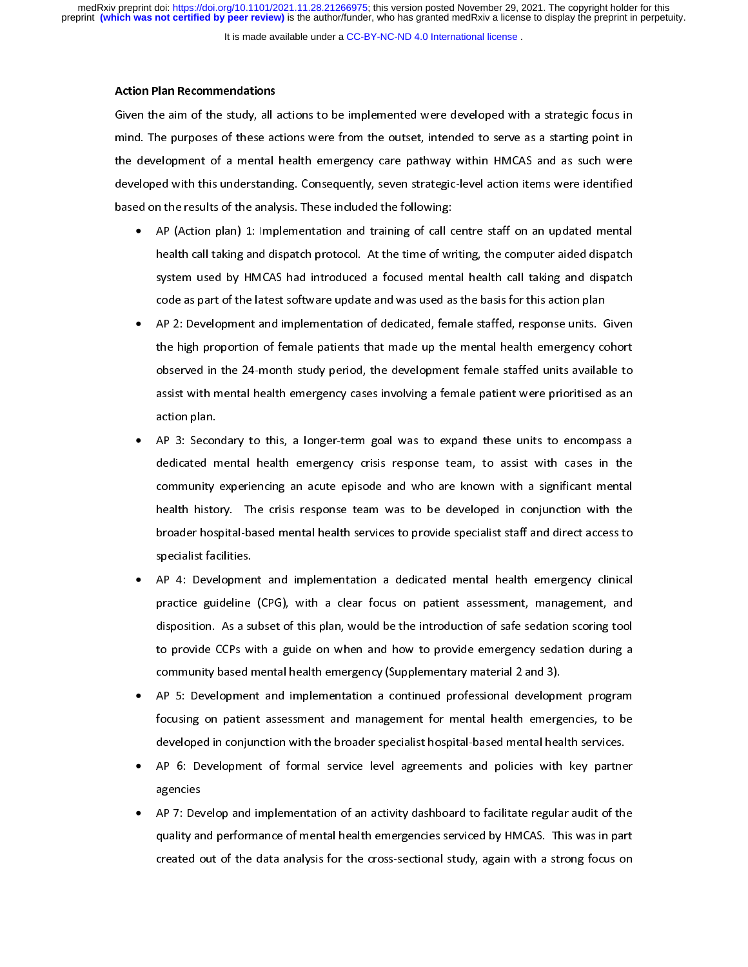It is made available under a [CC-BY-NC-ND 4.0 International license](http://creativecommons.org/licenses/by-nc-nd/4.0/) .

## Action Plan Recommendations

mind. The purposes of these actions were from the outset, intended to serve as a starting point in<br>the development of a mental health emergency care pathway within HMCAS and as such were<br>developed with this understanding. mind. The purposes of these actions were these action, the development of a mental health emergency care pathway within HMCAS and as such were developed with this understanding. Consequently, seven strategic-level action i developed with this understanding. Consequently, seven strategic-level action items were identified<br>based on the results of the analysis. These included the following:<br>• AP (Action plan) 1: Implementation and training of c

- developed with this understanding. Consequently, seven strategic-level action items were examined.<br>
AP (Action plan) 1: Implementation and training of call centre staff on an updated mental<br>
health call taking and dispatch • AP (Action plan) 1: Implementation and training of call c<br>health call taking and dispatch protocol. At the time of wr<br>system used by HMCAS had introduced a focused ment<br>code as part of the latest software update and was • Action and the call taking and dispatch protocol. At the time of writing, the computer aided dispatch<br>system used by HMCAS had introduced a focused mental health call taking and dispatch<br>code as part of the latest software health call taking and dispatch protocol. The time and contract many protocol.<br>System used by HMCAS had introduced a focused mental health call taking and dispatch<br>code as part of the latest software update and was used as
	- system used by HMCAS had introduced a focused mental health call taking and dispatch<br>code as part of the latest software update and was used as the basis for this action plan<br>AP 2: Development and implementation of dedicat AP 2: Development and implementation of dedicated, female staffed, response units. G<br>the high proportion of female patients that made up the mental health emergency co<br>observed in the 24-month study period, the development • AP 2: Development and implementation of the transmit of the mental health emergency cohort<br>observed in the 24-month study period, the development female staffed units available to<br>assist with mental health emergency cases observed in the 24-month study period, the development female staffed units available to<br>assist with mental health emergency cases involving a female patient were prioritised as an<br>action plan.<br>AP 3: Secondary to this, a l assist with mental health emergency cases involving a female patient were prioritised as an<br>action plan.<br>AP 3: Secondary to this, a longer-term goal was to expand these units to encompass a<br>dedicated mental health emergenc
	- action plan.<br>AP 3: Secondary to this, a longer-term goal was to expand these units to encompass a<br>dedicated mental health emergency crisis response team, to assist with cases in the<br>community experiencing an acute episode **AP 3: Secon<br>dedicated n<br>community<br>health histo** • AP 3: Secondary to this, a longer-term goal was to the inpairs interesting to encompare a<br>dedicated mental health emergency crisis response team, to assist with cases in the<br>community experiencing an acute episode and who community experiencing an acute episode and who are known with a significant mental<br>health history. The crisis response team was to be developed in conjunction with the<br>broader hospital-based mental health services to prov community experiences the developed in conjunction with the<br>broader hospital-based mental health services to provide specialist staff and direct access to<br>specialist facilities.<br>AP 4: Development and implementation a dedic health history. The chan teppends team that to be developed in conjunction into the<br>broader hospital-based mental health services to provide specialist staff and direct access to<br>specialist facilities.<br>AP 4: Development an
	- specialist facilities.<br>AP 4: Development and implementation a dedicated mental health emergency clinical<br>practice guideline (CPG), with a clear focus on patient assessment, management, and<br>disposition. As a subset of this F<br>AP 4: Developmer<br>practice guideline<br>disposition. As a su<br>to provide CCPs w • practice guideline (CPG), with a clear focus on patient assessment, management, and<br>disposition. As a subset of this plan, would be the introduction of safe sedation scoring tool<br>to provide CCPs with a guide on when and ho disposition. As a subset of this plan, would be the introduction of safe sedation scoring tool<br>to provide CCPs with a guide on when and how to provide emergency sedation during a<br>community based mental health emergency (Su disposition. As a subset of this plan, is subset on the interaction of the interaction of this plan.<br>to provide CCPs with a guide on when and how to provide emergency sedation during a<br>community based mental health emergen
	- to provide CCPs with a guide on which and how to provide emergency (summarized and 3).<br>AP 5: Development and implementation a continued professional development program<br>focusing on patient assessment and management for men Example 19 and implementation a continued professional developm<br>focusing on patient assessment and management for mental health emerg<br>developed in conjunction with the broader specialist hospital-based mental hea<br>AP 6: Dev • AP 5: Development and implementation a community professional and subsequents of the developed in conjunction with the broader specialist hospital-based mental health services.<br>AP 6: Development of formal service level agr
	- for the broader specialist hospital-based mental health services.<br>AP 6: Development of formal service level agreements and policies with key partner<br>agencies<br>AP 7: Develop and implementation of an activity dashboard to fac •
	- developed in conjunction with the broader specialist hospital-based mental health services.<br>AP 6: Development of formal service level agreements and policies with key partne<br>agencies<br>AP 7: Develop and implementation of an AP 7: Develop and implementation of an activity dashboard to facilitate regular audit of the quality and performance of mental health emergencies serviced by HMCAS. This was in part created out of the data analysis for the agencies<br>AP 7: Dev<br>quality ar<br>created c • quality and performance of mental health emergencies serviced by HMCAS. This was in part<br>created out of the data analysis for the cross-sectional study, again with a strong focus on<br>treated out of the data analysis for the created out of the data analysis for the cross-sectional study, again with a strong focus on created by HMCAS. This was in particular was in particular with a strong focus on  $\frac{1}{2}$ . created out of the data analysis for the cross-sectional study, again with a strong focus on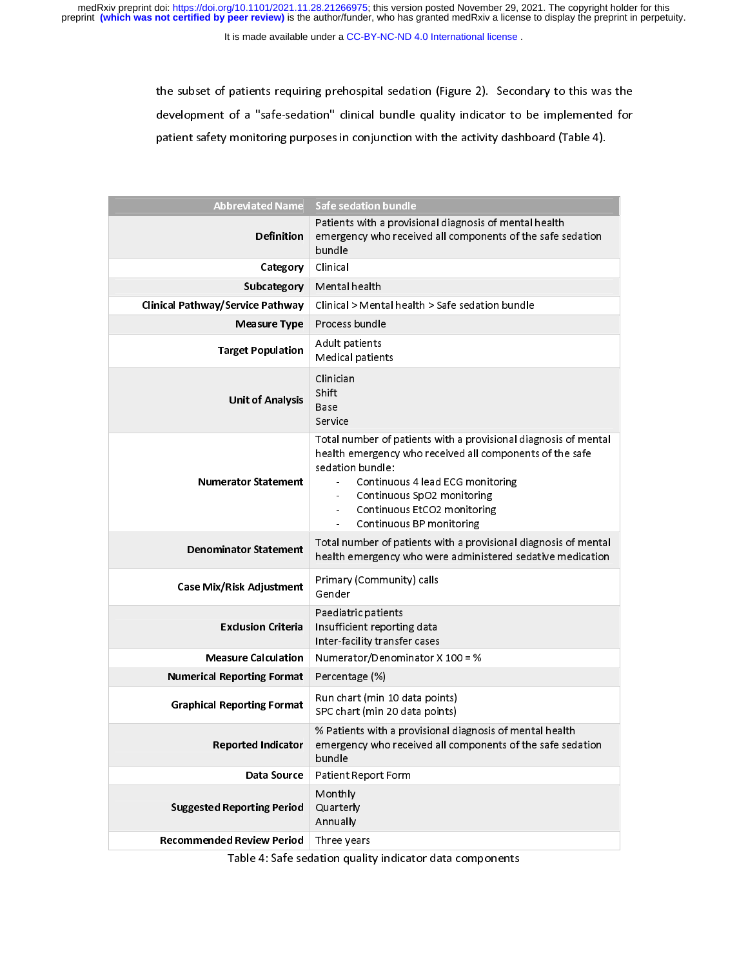medRxiv preprint doi: [https://doi.org/10.1101/2021.11.28.21266975;](https://doi.org/10.1101/2021.11.28.21266975) this version posted November 29, 2021. The copyright holder for this<br>preprint (which was not certified by peer review) is the author/funder, who has grante

It is made available under a [CC-BY-NC-ND 4.0 International license](http://creativecommons.org/licenses/by-nc-nd/4.0/) .

development of a "safe-sedation" clinical bundle quality indicator to be implemented for<br>patient safety monitoring purposes in conjunction with the activity dashboard (Table 4).

| <b>Abbreviated Name</b><br>Safe sedation bundle<br>Patients with a provisional diagnosis of mental health<br><b>Definition</b><br>emergency who received all components of the safe sedation<br>bundle<br>Clinical<br>Category<br>Mental health<br><b>Subcategory</b><br>Clinical Pathway/Service Pathway<br>Clinical > Mental health > Safe sedation bundle<br>Process bundle<br><b>Measure Type</b> |
|-------------------------------------------------------------------------------------------------------------------------------------------------------------------------------------------------------------------------------------------------------------------------------------------------------------------------------------------------------------------------------------------------------|
|                                                                                                                                                                                                                                                                                                                                                                                                       |
|                                                                                                                                                                                                                                                                                                                                                                                                       |
|                                                                                                                                                                                                                                                                                                                                                                                                       |
|                                                                                                                                                                                                                                                                                                                                                                                                       |
|                                                                                                                                                                                                                                                                                                                                                                                                       |
|                                                                                                                                                                                                                                                                                                                                                                                                       |
|                                                                                                                                                                                                                                                                                                                                                                                                       |
|                                                                                                                                                                                                                                                                                                                                                                                                       |
| Adult patients<br><b>Target Population</b><br>Medical patients                                                                                                                                                                                                                                                                                                                                        |
| Clinician<br>Shift.<br><b>Unit of Analysis</b><br>Base<br>Service                                                                                                                                                                                                                                                                                                                                     |
| Total number of patients with a provisional diagnosis of mental<br>health emergency who received all components of the safe<br>sedation bundle:<br>Continuous 4 lead ECG monitoring<br><b>Numerator Statement</b><br>$\sim$<br>Continuous SpO2 monitoring<br>Continuous EtCO2 monitoring<br>Continuous BP monitoring                                                                                  |
| Total number of patients with a provisional diagnosis of mental<br><b>Denominator Statement</b><br>health emergency who were administered sedative medication                                                                                                                                                                                                                                         |
| Primary (Community) calls<br>Case Mix/Risk Adjustment<br>Gender                                                                                                                                                                                                                                                                                                                                       |
| Paediatric patients<br><b>Exclusion Criteria</b><br>Insufficient reporting data<br>Inter-facility transfer cases                                                                                                                                                                                                                                                                                      |
| <b>Measure Calculation</b><br>Numerator/Denominator X 100 = $%$                                                                                                                                                                                                                                                                                                                                       |
| <b>Numerical Reporting Format</b><br>Percentage (%)                                                                                                                                                                                                                                                                                                                                                   |
| Run chart (min 10 data points)<br><b>Graphical Reporting Format</b><br>SPC chart (min 20 data points)                                                                                                                                                                                                                                                                                                 |
| % Patients with a provisional diagnosis of mental health<br><b>Reported Indicator</b><br>emergency who received all components of the safe sedation<br>bundle                                                                                                                                                                                                                                         |
| Patient Report Form<br>Data Source                                                                                                                                                                                                                                                                                                                                                                    |
| Monthly<br>Quarterly<br><b>Suggested Reporting Period</b><br>Annually                                                                                                                                                                                                                                                                                                                                 |
| <b>Recommended Review Period</b><br>Three years                                                                                                                                                                                                                                                                                                                                                       |

Table 4: Safe sedation quality indicator data components Table 4: Safe sedation quality indicator data components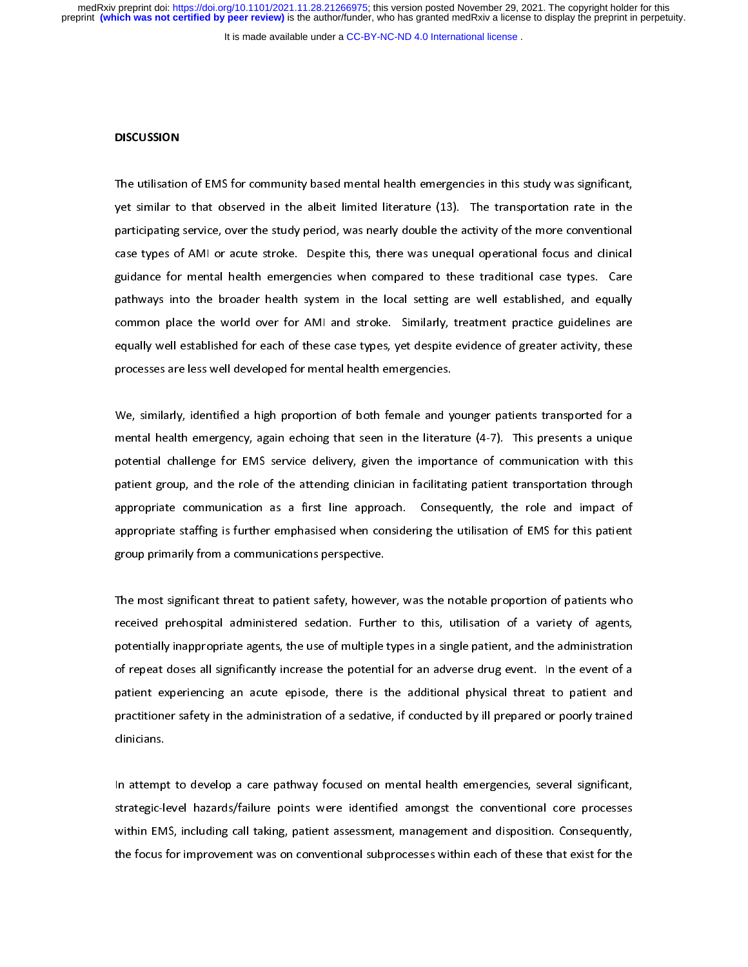It is made available under a [CC-BY-NC-ND 4.0 International license](http://creativecommons.org/licenses/by-nc-nd/4.0/) .

## **DISCUSSION**

 $\overline{a}$  $\begin{bmatrix} 1 \\ 2 \end{bmatrix}$ ד<br>|}<br>|} The utilisation of EMS for community based mental health emergencies in this study was significant, yet similar to that observed in the albeit limited literature (13). The transportation rate in the participating service, case types of AMI or acute stroke. Despite this, there was unequal operational focus and clinical<br>guidance for mental health emergencies when compared to these traditional case types. Care<br>pathways into the broader health participation of the study case types of AMI or acute stroke. Despite this, there was unequal operational focus and clinical guidance for mental health emergencies when compared to these traditional case types. Care pathwa guidance for mental health emergencies when compared to these traditional case types. Care<br>pathways into the broader health system in the local setting are well established, and equally<br>common place the world over for AMI pathways into the broader health system in the local setting are well established, and equally<br>common place the world over for AMI and stroke. Similarly, treatment practice guidelines are<br>equally well established for each pathways into the broader health system in the local setting are well common place the world over for AMI and stroke. Similarly, treatment practice guidelines are equally well established for each of these case types, yet comally well established for each of these case types, yet despite evidence of greater activity, these<br>processes are less well developed for mental health emergencies.<br>We, similarly, identified a high proportion of both fe

extending processes are less well developed for mental health emergencies.<br>We, similarly, identified a high proportion of both female and younger patients transported for a<br>mental health emergency, again echoing that seen processes are less well as the mental mental analysis well.<br>We, similarly, identified a high proportion of both female and y<br>mental health emergency, again echoing that seen in the literat<br>potential challenge for EMS servi \<br>|<br>|} Mental health emergency, again echoing that seen in the literature (4-7). This presents a unique<br>potential challenge for EMS service delivery, given the importance of communication with this<br>patient group, and the role of mental challenge for EMS service delivery, given the importance of communication with this patient group, and the role of the attending clinician in facilitating patient transportation through appropriate communication as patient group, and the role of the attending clinician in facilitating patient transportation through<br>appropriate communication as a first line approach. Consequently, the role and impact of<br>appropriate staffing is further patient group, and the role of the attending clinician in tending patient transportant in eagle<br>appropriate communication as a first line approach. Consequently, the role and impact of<br>appropriate staffing is further empha appropriate staffing is further emphasised when considering the utilisation of EMS for this patient<br>group primarily from a communications perspective.<br>The most significant threat to patient safety, however, was the notable

approprimate stating is further emphasised when considering the university of this patint<br>group primatily from a communications perspective.<br>The most significant threat to patient safety, however, was the notable proportio group is a communication of the most significant threat to patient safety, howeviec<br>interactive prehospital administered sedation. Furth<br>potentially inappropriate agents, the use of multiple ד<br>1<br>} The most significant most significant safetion. Further to this, utilisation of a variety of agents, potentially inappropriate agents, the use of multiple types in a single patient, and the administration of repeat doses a potentially inappropriate agents, the use of multiple types in a single patient, and the administration of repeat doses all significantly increase the potential for an adverse drug event. In the event of a<br>patient experiencing an acute episode, there is the additional physical threat to patient and<br>practitioner safety in the patient experiencing an acute episode, there is the additional physical threat to patient and practitioner safety in the administration of a sedative, if conducted by ill prepared or poorly trained

In attempt to develop a care pathway focused on mental health emergencies, several significant,<br>strategic-level hazards/failure points were identified amongst the conventional core processes In attemp<br>strategic-le<br>within EM ו<br>י<br>ו In attrategic-level hazards/failure points were identified amongst the conventional core processes<br>Within EMS, including call taking, patient assessment, management and disposition. Consequently,<br>the focus for improvement strategic for a matrix, failure points were interested among the conventional core processes<br>within EMS, including call taking, patient assessment, management and disposition. Consequently,<br>the focus for improvement was on the focus for improvement was on conventional subprocesses within each of these that exist for the the focus for improvement was on conventional subprocesses with  $\alpha$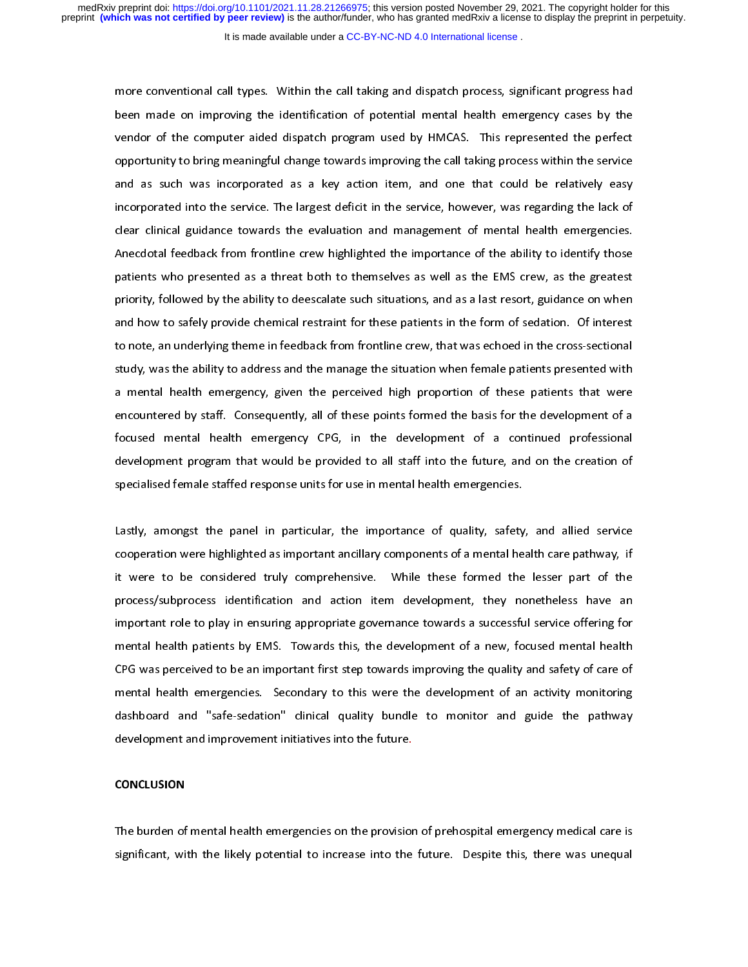It is made available under a [CC-BY-NC-ND 4.0 International license](http://creativecommons.org/licenses/by-nc-nd/4.0/) .

more conventional mental health emergency cases by the vendor of the computer aided dispatch program used by HMCAS. This represented the perfect opportunity to bring meaningful change towards improving the call taking proc been dor of the computer aided dispatch program used by HMCAS. This represented the perfect<br>opportunity to bring meaningful change towards improving the call taking process within the service<br>and as such was incorporated a opportunity to bring meaningful change towards improving the call taking process within the service<br>and as such was incorporated as a key action item, and one that could be relatively easy<br>incorporated into the service. Th and as such was incorporated as a key action item, and one that could be relatively easy<br>incorporated into the service. The largest deficit in the service, however, was regarding the lack of<br>clear clinical guidance towards incorporated into the service. The largest deficit in the service, however, was regarding the lack of clear clinical guidance towards the evaluation and management of mental health emergencies.<br>Anecdotal feedback from fron incorporated into the service the singlest definition and management of mental health emergencies.<br>Anecdotal feedback from frontline crew highlighted the importance of the ability to identify those<br>patients who presented a Anecdotal feedback from frontline crew highlighted the importance of the ability to identify those<br>patients who presented as a threat both to themselves as well as the EMS crew, as the greatest<br>priority, followed by the ab patients who presented as a threat both to themselves as well as the EMS crew, as the greatest<br>priority, followed by the ability to deescalate such situations, and as a last resort, guidance on when<br>and how to safely provi priority, followed by the ability to deescalate such situations, and as a last resort, guidance on when<br>and how to safely provide chemical restraint for these patients in the form of sedation. Of interest<br>to note, an under priority, considering the ability of determine such situations, and as a latter corry, guidance on minimizion<br>and how to safely provide chemical restraint for these patients in the form of sedation. Of interest<br>to note, an and to note, an underlying theme in feedback from frontline crew, that was echoed in the cross-sectional<br>study, was the ability to address and the manage the situation when female patients presented with<br>a mental health em tudy, was the ability to address and the manage the situation when female patients presented with<br>a mental health emergency, given the perceived high proportion of these patients that were<br>encountered by staff. Consequentl study, was the ability to address and the manage the ability then many patches that were<br>a mental health emergency, given the perceived high proportion of these patients that were<br>encountered by staff. Consequently, all of a mental health emergency, given the perceived high proportion of mini-dependence in the development of a<br>focused mental health emergency CPG, in the development of a continued professional<br>development program that would b focused mental health emergency CPG, in the development of a continued professional<br>development program that would be provided to all staff into the future, and on the creation of<br>specialised female staffed response units development program that would be provided to all staff into the future, and on the creation of<br>specialised female staffed response units for use in mental health emergencies.<br>Lastly, amongst the panel in particular, the i

specialised female staffed response units for use in mental health emergencies.<br>Lastly, amongst the panel in particular, the importance of quality, safety, and allied service<br>cooperation were highlighted as important ancil Example female states female in the state for the importance of quality, safety<br>Lastly, amongst the panel in particular, the importance of quality, safety<br>cooperation were highlighted as important ancillary components of a |<br>|<br>|<br>| Lastly, antenger the panel in particular, the imperiume of quality, safety, and allied service<br>cooperation were highlighted as important ancillary components of a mental health care pathway, if<br>it were to be considered tru it were to be considered truly comprehensive. While these formed the lesser part of the<br>process/subprocess identification and action item development, they nonetheless have an<br>important role to play in ensuring appropriate process/subprocess identification and action item development, they nonetheless have an<br>important role to play in ensuring appropriate governance towards a successful service offering for<br>mental health patients by EMS. Tow process/subprocess identification and action item development, and item trending in<br>important role to play in ensuring appropriate governance towards a successful service offering for<br>mental health patients by EMS. Towards important role to play in entering appropriate governance to them a service toward commental health cPG was perceived to be an important first step towards improving the quality and safety of care of mental health emergenc CPG was perceived to be an important first step towards improving the quality and safety of care of<br>mental health emergencies. Secondary to this were the development of an activity monitoring<br>dashboard and "safe-sedation" EPG was perceived to be an important interespercime improving the quality and care mental health emergencies. Secondary to this were the development of an activity monitoring dashboard and "safe-sedation" clinical quality dashboard and "safe-sedation" clinical quality bundle to monitor and guide the pathway<br>development and improvement initiatives into the future.<br>CONCLUSION development and improvement initiatives into the future.<br>CONCLUSION development and improvement initiatives into the future.<br> **CONCLUSION**<br>
The burden of mental health emergencies on the provision of prehospital emergency medical care is

# **CONCLUSION**

 $\frac{1}{2}$  $\frac{1}{2}$ significant, with the likely potential to increase into the future. Despite this, there was unequal significant, with the likely potential to increase into the future. Despite this, there was unequality the future. Despite this, there was unequality to increase in the future. Despite this, there was under the future of t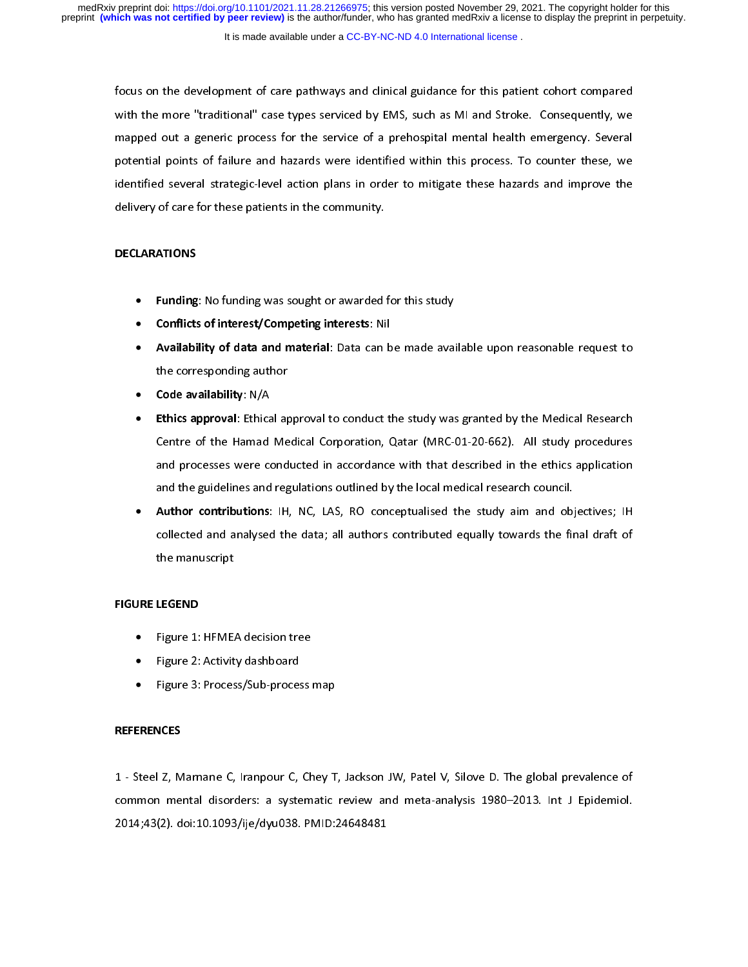It is made available under a [CC-BY-NC-ND 4.0 International license](http://creativecommons.org/licenses/by-nc-nd/4.0/) .

focus on the development of care pathways and clinical guidance for this patient cohort compared<br>with the more "traditional" case types serviced by EMS, such as MI and Stroke. Consequently, we<br>mapped out a generic process mapped out a generic process for the service of a prehospital mental health emergency. Several<br>potential points of failure and hazards were identified within this process. To counter these, we<br>identified several strategicmapped out a generic process for the service of a process for the service of a process. To counter these, we<br>identified several strategic-level action plans in order to mitigate these hazards and improve the<br>delivery of ca identified several strategic-level action plans in order to mitigate these hazards and improve the delivery of care for these patients in the community. delivery of care for these patients in the community.<br>DECLARATIONS

# $\overline{a}$ DECLARATIONS

- delivery of care for these patients in the community.<br>DECLARATIONS<br>• Funding: No funding was sought or awarded
	-
	- Funding: No funding was sought or awarded for this study<br>• Conflicts of interest/Competing interests: Nil<br>• Availability of data and material: Data can be made avai<br>the corresponding author<br>• Code availability: N/A • Conflicts of interest/Competing interests: Nil<br>• Availability of data and material: Data can b<br>• the corresponding author<br>• Code availability: N/A<br>• Ethics approval: Ethical approval to conduct t
	-
	- Availability of data and material: Data can be made available upon reasonable request to<br>the corresponding author<br>• Code availability: N/A<br>• Ethics approval: Ethical approval to conduct the study was granted by the Medic **Code availability**: N/A<br>**Ethics approval**: Ethical ap<br>Centre of the Hamad Me<br>and processes were cond • Code availability: N/A<br>• Ethics approval: Ethica<br>Centre of the Hamad<br>and processes were co<br>and the guidelines and • Ethics approval: Ethical approval to conduct the study was granted by the Medical Research<br>Centre of the Hamad Medical Corporation, Qatar (MRC-01-20-662). All study procedures<br>and processes were conducted in accordance w and processes were conducted in accordance with that described in the ethics application<br>and the guidelines and regulations outlined by the local medical research council.
	- collected and analysed the data; all authors contributed equally towards the final draft of<br>the manuscript Author contributions: IH, NC, LAS, RO conceptualised the study aim and objectives; IH • Author contributions: IH, NC, LAS, RO conceptualised the study aim and objectives; IH<br>collected and analysed the data; all authors contributed equally towards the final draft of<br>the manuscript<br>JRE LEGEND collected and analysed the data; all authors contributed equally towards the final draft of<br>the manuscript<br>Figure 1: HFMEA decision tree

# FIGURE LEGEND

- the manuscript<br>**LEGEND**<br>Figure 1: HFME*l*<br>Figure 2: Activit<sup>,</sup> •
- •
- Figure 2: Activity dashboard<br>Figure 3: Process/Sub-process<br>NCES Figure 3: Process/Sub-proces<br>Rigure 3: Process/Sub-proces<br>NCES •

## **REFERENCES**

1 - Steel Z, Marnane C, Iranpour C, Chey T, Jackson JW, Patel V, Silove D. The global prevalence of common mental disorders: a systematic review and meta-analysis 1980–2013. Int J Epidemiol.<br>2014;43(2). doi:10.1093/ije/dyu038. PMID:24648481 common mental distributor a systematic review and meta-analysis 1980–2014;43(2), doi:10.1093/ije/dyu038. PMID:24648481 2014;43(2). doi:10.1093/ije/dyu038. PMID:24648481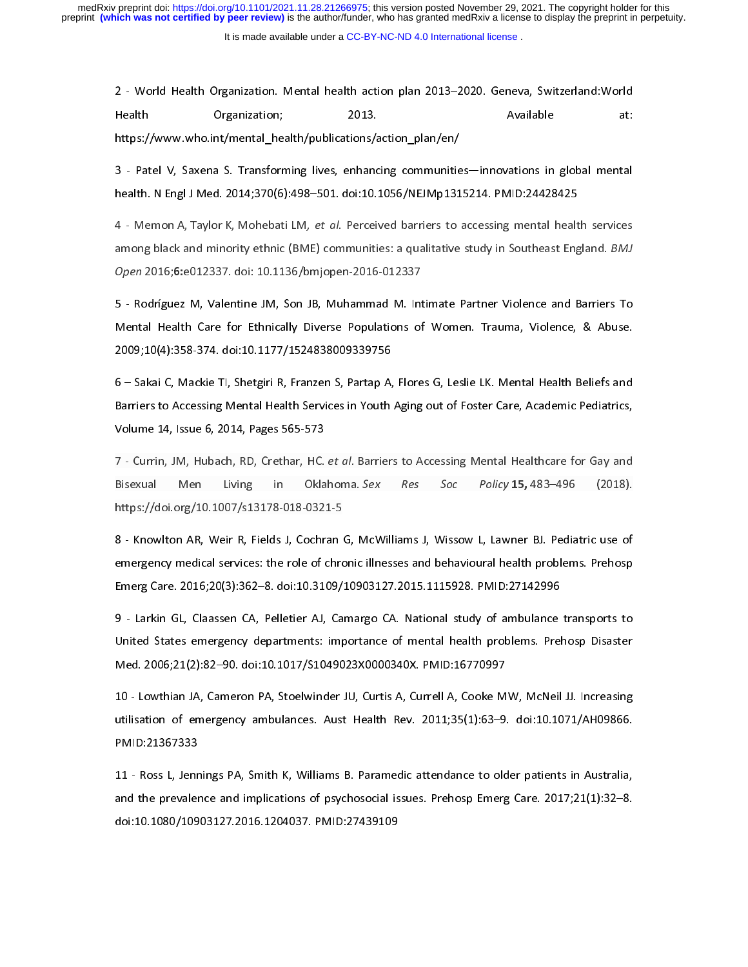It is made available under a [CC-BY-NC-ND 4.0 International license](http://creativecommons.org/licenses/by-nc-nd/4.0/) .

2 - World Health Organization; 2013. Available at:<br>2013. Available at:<br>2013–2013–2013–2020. Https://www.who.int/mental\_health/publications/action\_plan/en/<br>2014–2014:370(6):498–501. doi:10.1056/NEJMp1315214. PMID:24428425

https://www.who.int/mental\_health/publications/action\_plan/en/<br>3 - Patel V, Saxena S. Transforming lives, enhancing communities—innovations in global mental<br>health. N Engl J Med. 2014;370(6):498–501. doi:10.1056/NEJMp13152 https://www.who.int/mental\_health/publications/action\_plan/en/<br>3 - Patel V, Saxena S. Transforming lives, enhancing communities—innovations in global mental<br>health. N Engl J Med. 2014;370(6):498–501. doi:10.1056/NEJMp13152

3 - Patel V, Saxem Community Community Selection, Nealth. Nenglist Med. 2014;370(6):498–501. doi:10.1056/NEJMp1315214. PMID:24428425<br>3 - Memon A, Taylor K, Mohebati LM, *et al.* Perceived barriers to accessing mental healt 4 - Memon A, Taylor K, Mohebati LM, *et al.* Perceived barriers to accessing mental healt<br>among black and minority ethnic (BME) communities: a qualitative study in Southeast Eng<br>Open 2016;6:e012337. doi: 10.1136/bmjopen-20 4 - Memonix, Taylor K, Mohebati LM, et al. Perceived barners to accessing mental health services<br>among black and minority ethnic (BME) communities: a qualitative study in Southeast England. *BMJ*<br>Open 2016;6:e012337. doi:

among black and minority ethnic (BME) communities: a qualitative study in Southeast England. BMB<br>Open 2016;6:e012337. doi: 10.1136/bmjopen-2016-012337<br>5 - Rodríguez M, Valentine JM, Son JB, Muhammad M. Intimate Partner Vio Open 2016,0:e012337. doi: 10.1136/bmjopen-2016-012337<br>5 - Rodríguez M, Valentine JM, Son JB, Muhammad M. Int<br>Mental Health Care for Ethnically Diverse Populations of<br>2009;10(4):358-374. doi:10.1177/1524838009339756 Son Health Care for Ethnically Diverse Populations of Women. Trauma, Violence, & Abuse.<br>2009;10(4):358-374. doi:10.1177/1524838009339756<br>6 - Sakai C, Mackie Tl, Shetgiri R, Franzen S, Partap A, Flores G, Leslie LK. Mental

Mental Health Care for Ethnically Ethnical Computers of Mental Health, Care for Mental<br>2009;10(4):358-374. doi:10.1177/1524838009339756<br>6 – Sakai C, Mackie TI, Shetgiri R, Franzen S, Partap A, Flores G, Leslie LK. Mental H 2009;20(1):258-374. amintaria, processes of the Sakai C, Mackie TI, Shetgiri R, Franzen S, Partap A,<br>Barriers to Accessing Mental Health Services in Youth<br>Volume 14, Issue 6, 2014, Pages 565-573 Barriers to Accessing Mental Health Services in Youth Aging out of Foster Care, Academic Pediatrics,<br>
Volume 14, Issue 6, 2014, Pages 565-573<br>
7 - Currin, JM, Hubach, RD, Crethar, HC. *et al.* Barriers to Accessing Mental

Barriers to Accessing Mental Health Services in Youth Singley 2014 11:2014 19, 1000000000000000000000000000000<br>T - Currin, JM, Hubach, RD, Crethar, HC. *et al.* Barriers to Accessing Mental Healthcare for Gay and<br>Bisexual Volume 14, Issue 6, 2014, Pages 565-573 7 - Currin, JM, Hubach, RD, Crethar, HC. et al. Barriers to Accessing Mental Healthcare for Gay and<br>Bisexual Men Living in Oklahoma. Sex Res Soc Policy 15, 483–496 (2018).<br>https://doi.org/10.1007/s13178-018-0321-5<br>8 - Know

Bisexual Men Living in Oklahoma. Sex Res Soc Policy 13, 483–496 (2018).<br>https://doi.org/10.1007/s13178-018-0321-5<br>8 - Knowlton AR, Weir R, Fields J, Cochran G, McWilliams J, Wissow L, Lawner BJ. Pediatric use of<br>emergency  $\sim$  8 - Knowlton AR, Weir R, Fields J, Cochran<br>emergency medical services: the role of chro<br>Emerg Care. 2016;20(3):362–8. doi:10.3109/ emergency medical services: the role of chronic illnesses and behavioural health problems. Prehosp<br>Emerg Care. 2016;20(3):362–8. doi:10.3109/10903127.2015.1115928. PMID:27142996<br>9 - Larkin GL, Claassen CA, Pelletier AJ, Ca

Emerg Care. 2016;20(3):362–8. doi:10.3109/10903127.2015.1115928. PMID:27142996<br>9 - Larkin GL, Claassen CA, Pelletier AJ, Camargo CA. National study of ambulance transports to<br>United States emergency departments: importance Emerg Care. 2016;20(3):362–8. doi:10.3109/10903127.2015.1115928. PMID:27142996<br>9 - Larkin GL, Claassen CA, Pelletier AJ, Camargo CA. National study of ambulance transports to<br>United States emergency departments: importance 9 - Larkin CL, Clarettin City Clarettin (a), Claiming Collam Charlettin, Collam Champerts Campus United States emergency departments: importance of mental health problems. Prehosp Disaster Med. 2006;21(2):82–90. doi:10.101

Med. 2006;21(2):82–90. doi:10.1017/S1049023X0000340X. PMID:16770997<br>10 - Lowthian JA, Cameron PA, Stoelwinder JU, Curtis A, Currell A, Cooke MW, McNeil JJ. Increasing<br>utilisation of emergency ambulances. Aust Health Rev. 2 Med. 2006)<br>10 - Lowthian JA, Cameron PA, Stoelwinder JU, Curtis A, Currell A, Cooke M<br>10.11.21367333<br>PMID:21367333 11 - utilisation of emergency ambulances. Aust Health Rev. 2011;35(1):63–9. doi:10.1071/AH09866.<br>11 - Ross L, Jennings PA, Smith K, Williams B. Paramedic attendance to older patients in Australia,<br>11 - Ross L, Jennings PA,

untilisation of emergency ambulances that Health Rev. 2022/24/222 of ambulances. Application<br>PMID:21367333<br>11 - Ross L, Jennings PA, Smith K, Williams B. Paramedic attendance to older patients in Australia,<br>and the prevale 11 - Ross L, Jenr<br>and the prevaler<br>doi:10.1080/109 11 11 - Ross L, Jennings Pa, Jennings Parameter Protection attendance to entire patients in Australia,<br>and the prevalence and implications of psychosocial issues. Prehosp Emerg Care. 2017;21(1):32–8.<br>doi:10.1080/10903127.2 and the prevalence and implications of psychosocial issues. Prehosp Emerg Care. 2017;21(1):32–8. doi:10.1080/10903127.2016.1204037. PMID:27439109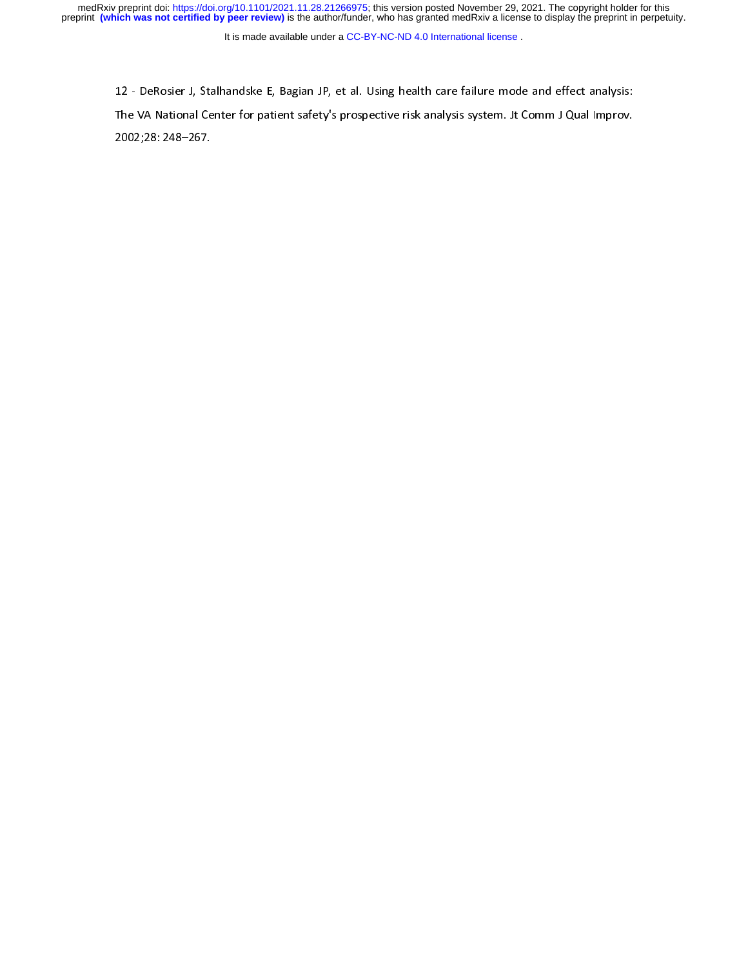medRxiv preprint doi: [https://doi.org/10.1101/2021.11.28.21266975;](https://doi.org/10.1101/2021.11.28.21266975) this version posted November 29, 2021. The copyright holder for this<br>preprint (which was not certified by peer review) is the author/funder, who has grante

It is made available under a [CC-BY-NC-ND 4.0 International license](http://creativecommons.org/licenses/by-nc-nd/4.0/) .

12 - DeRosier J, Stalhandske E, Bagian JP, et al. Using health care failure mode and effect analysis:<br>The VA National Center for patient safety's prospective risk analysis system. Jt Comm J Qual Improv.<br>2002;28: 248–267. The VA National Center for patient safety's prospective risk analysis system. Jt Comm J Qual Improv.<br>2002;28: 248–267.<br>. 2002;<br>28: 248–267. 248–267. 248–267. 248–267. 248–267. 248–267. 248–267. 248–267. 248–267. 248–267. 248–267. 248–26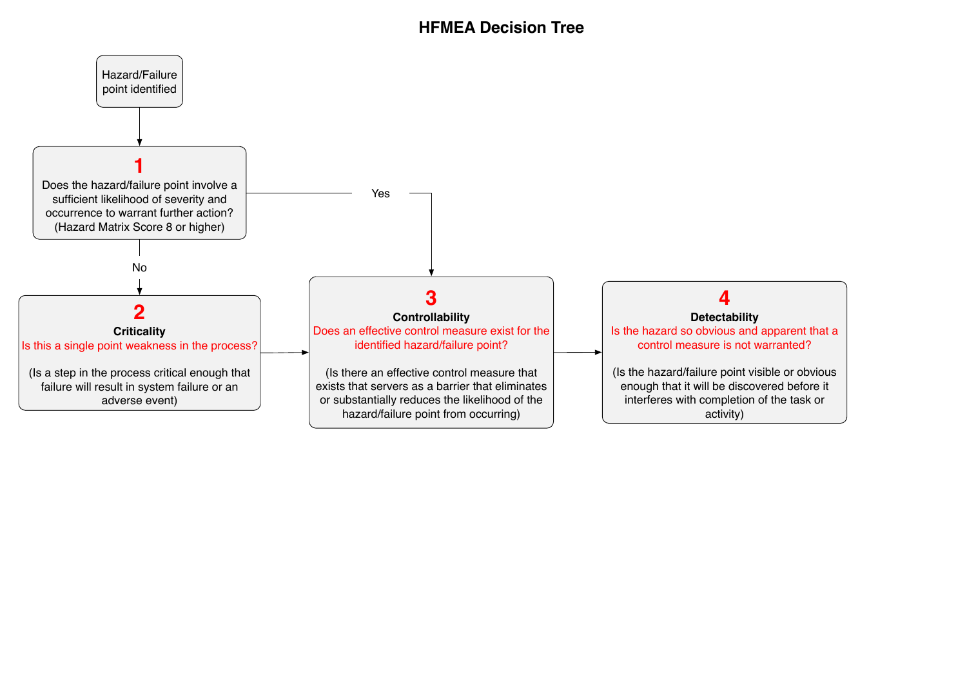# **HFMEA Decision Tree**

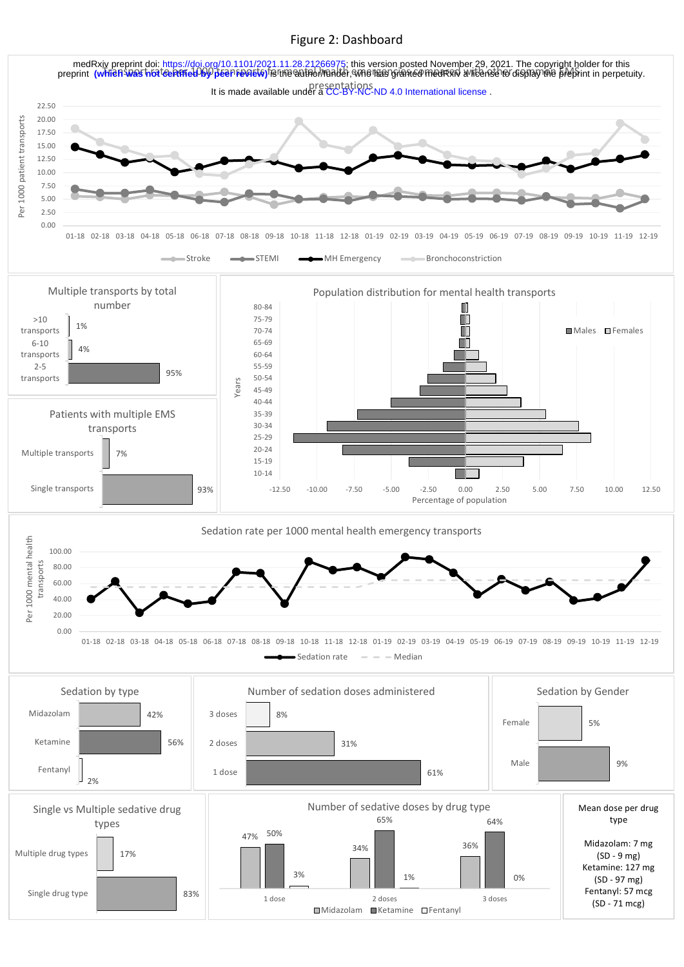# Figure 2: Dashboard